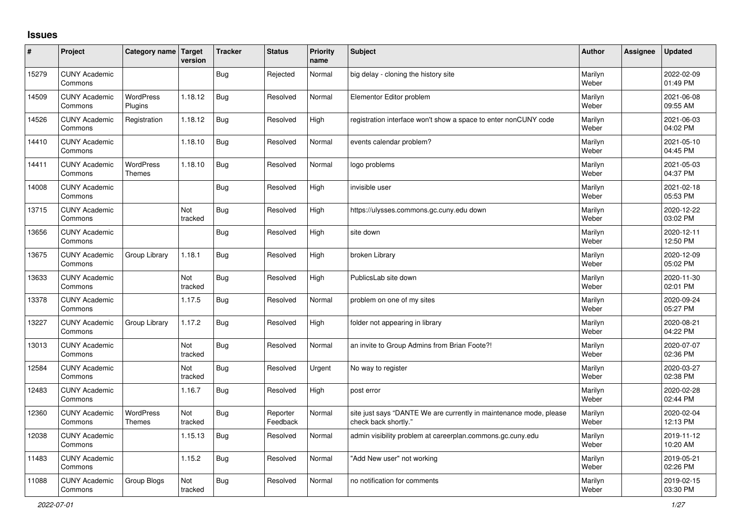## **Issues**

| #     | Project                         | Category name   Target      | version        | <b>Tracker</b> | <b>Status</b>        | <b>Priority</b><br>name | <b>Subject</b>                                                                             | <b>Author</b>    | <b>Assignee</b> | <b>Updated</b>         |
|-------|---------------------------------|-----------------------------|----------------|----------------|----------------------|-------------------------|--------------------------------------------------------------------------------------------|------------------|-----------------|------------------------|
| 15279 | <b>CUNY Academic</b><br>Commons |                             |                | <b>Bug</b>     | Rejected             | Normal                  | big delay - cloning the history site                                                       | Marilyn<br>Weber |                 | 2022-02-09<br>01:49 PM |
| 14509 | <b>CUNY Academic</b><br>Commons | <b>WordPress</b><br>Plugins | 1.18.12        | Bug            | Resolved             | Normal                  | Elementor Editor problem                                                                   | Marilyn<br>Weber |                 | 2021-06-08<br>09:55 AM |
| 14526 | <b>CUNY Academic</b><br>Commons | Registration                | 1.18.12        | <b>Bug</b>     | Resolved             | High                    | registration interface won't show a space to enter nonCUNY code                            | Marilyn<br>Weber |                 | 2021-06-03<br>04:02 PM |
| 14410 | <b>CUNY Academic</b><br>Commons |                             | 1.18.10        | Bug            | Resolved             | Normal                  | events calendar problem?                                                                   | Marilyn<br>Weber |                 | 2021-05-10<br>04:45 PM |
| 14411 | <b>CUNY Academic</b><br>Commons | <b>WordPress</b><br>Themes  | 1.18.10        | Bug            | Resolved             | Normal                  | logo problems                                                                              | Marilyn<br>Weber |                 | 2021-05-03<br>04:37 PM |
| 14008 | <b>CUNY Academic</b><br>Commons |                             |                | <b>Bug</b>     | Resolved             | High                    | invisible user                                                                             | Marilyn<br>Weber |                 | 2021-02-18<br>05:53 PM |
| 13715 | <b>CUNY Academic</b><br>Commons |                             | Not<br>tracked | <b>Bug</b>     | Resolved             | High                    | https://ulysses.commons.gc.cuny.edu down                                                   | Marilyn<br>Weber |                 | 2020-12-22<br>03:02 PM |
| 13656 | <b>CUNY Academic</b><br>Commons |                             |                | <b>Bug</b>     | Resolved             | High                    | site down                                                                                  | Marilyn<br>Weber |                 | 2020-12-11<br>12:50 PM |
| 13675 | <b>CUNY Academic</b><br>Commons | Group Library               | 1.18.1         | Bug            | Resolved             | High                    | broken Library                                                                             | Marilyn<br>Weber |                 | 2020-12-09<br>05:02 PM |
| 13633 | <b>CUNY Academic</b><br>Commons |                             | Not<br>tracked | <b>Bug</b>     | Resolved             | High                    | PublicsLab site down                                                                       | Marilyn<br>Weber |                 | 2020-11-30<br>02:01 PM |
| 13378 | <b>CUNY Academic</b><br>Commons |                             | 1.17.5         | <b>Bug</b>     | Resolved             | Normal                  | problem on one of my sites                                                                 | Marilyn<br>Weber |                 | 2020-09-24<br>05:27 PM |
| 13227 | <b>CUNY Academic</b><br>Commons | Group Library               | 1.17.2         | Bug            | Resolved             | High                    | folder not appearing in library                                                            | Marilyn<br>Weber |                 | 2020-08-21<br>04:22 PM |
| 13013 | <b>CUNY Academic</b><br>Commons |                             | Not<br>tracked | <b>Bug</b>     | Resolved             | Normal                  | an invite to Group Admins from Brian Foote?!                                               | Marilyn<br>Weber |                 | 2020-07-07<br>02:36 PM |
| 12584 | <b>CUNY Academic</b><br>Commons |                             | Not<br>tracked | Bug            | Resolved             | Urgent                  | No way to register                                                                         | Marilyn<br>Weber |                 | 2020-03-27<br>02:38 PM |
| 12483 | <b>CUNY Academic</b><br>Commons |                             | 1.16.7         | <b>Bug</b>     | Resolved             | High                    | post error                                                                                 | Marilyn<br>Weber |                 | 2020-02-28<br>02:44 PM |
| 12360 | <b>CUNY Academic</b><br>Commons | WordPress<br>Themes         | Not<br>tracked | <b>Bug</b>     | Reporter<br>Feedback | Normal                  | site just says "DANTE We are currently in maintenance mode, please<br>check back shortly." | Marilyn<br>Weber |                 | 2020-02-04<br>12:13 PM |
| 12038 | <b>CUNY Academic</b><br>Commons |                             | 1.15.13        | Bug            | Resolved             | Normal                  | admin visibility problem at careerplan.commons.gc.cuny.edu                                 | Marilyn<br>Weber |                 | 2019-11-12<br>10:20 AM |
| 11483 | <b>CUNY Academic</b><br>Commons |                             | 1.15.2         | <b>Bug</b>     | Resolved             | Normal                  | "Add New user" not working                                                                 | Marilyn<br>Weber |                 | 2019-05-21<br>02:26 PM |
| 11088 | <b>CUNY Academic</b><br>Commons | Group Blogs                 | Not<br>tracked | Bug            | Resolved             | Normal                  | no notification for comments                                                               | Marilyn<br>Weber |                 | 2019-02-15<br>03:30 PM |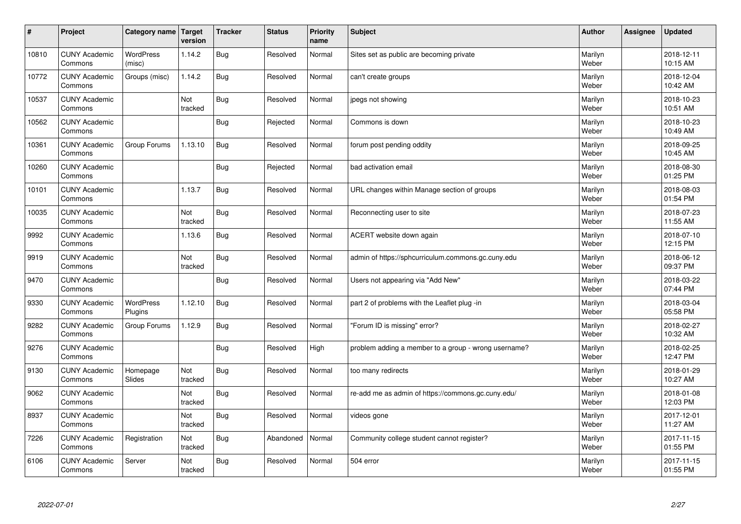| #     | Project                         | Category name              | Target<br>version | <b>Tracker</b> | <b>Status</b> | <b>Priority</b><br>name | <b>Subject</b>                                       | <b>Author</b>    | Assignee | <b>Updated</b>         |
|-------|---------------------------------|----------------------------|-------------------|----------------|---------------|-------------------------|------------------------------------------------------|------------------|----------|------------------------|
| 10810 | <b>CUNY Academic</b><br>Commons | <b>WordPress</b><br>(misc) | 1.14.2            | <b>Bug</b>     | Resolved      | Normal                  | Sites set as public are becoming private             | Marilyn<br>Weber |          | 2018-12-11<br>10:15 AM |
| 10772 | <b>CUNY Academic</b><br>Commons | Groups (misc)              | 1.14.2            | Bug            | Resolved      | Normal                  | can't create groups                                  | Marilyn<br>Weber |          | 2018-12-04<br>10:42 AM |
| 10537 | <b>CUNY Academic</b><br>Commons |                            | Not<br>tracked    | <b>Bug</b>     | Resolved      | Normal                  | jpegs not showing                                    | Marilyn<br>Weber |          | 2018-10-23<br>10:51 AM |
| 10562 | <b>CUNY Academic</b><br>Commons |                            |                   | <b>Bug</b>     | Rejected      | Normal                  | Commons is down                                      | Marilyn<br>Weber |          | 2018-10-23<br>10:49 AM |
| 10361 | <b>CUNY Academic</b><br>Commons | Group Forums               | 1.13.10           | <b>Bug</b>     | Resolved      | Normal                  | forum post pending oddity                            | Marilyn<br>Weber |          | 2018-09-25<br>10:45 AM |
| 10260 | <b>CUNY Academic</b><br>Commons |                            |                   | Bug            | Rejected      | Normal                  | bad activation email                                 | Marilyn<br>Weber |          | 2018-08-30<br>01:25 PM |
| 10101 | <b>CUNY Academic</b><br>Commons |                            | 1.13.7            | <b>Bug</b>     | Resolved      | Normal                  | URL changes within Manage section of groups          | Marilyn<br>Weber |          | 2018-08-03<br>01:54 PM |
| 10035 | <b>CUNY Academic</b><br>Commons |                            | Not<br>tracked    | <b>Bug</b>     | Resolved      | Normal                  | Reconnecting user to site                            | Marilyn<br>Weber |          | 2018-07-23<br>11:55 AM |
| 9992  | <b>CUNY Academic</b><br>Commons |                            | 1.13.6            | Bug            | Resolved      | Normal                  | ACERT website down again                             | Marilyn<br>Weber |          | 2018-07-10<br>12:15 PM |
| 9919  | <b>CUNY Academic</b><br>Commons |                            | Not<br>tracked    | <b>Bug</b>     | Resolved      | Normal                  | admin of https://sphcurriculum.commons.gc.cuny.edu   | Marilyn<br>Weber |          | 2018-06-12<br>09:37 PM |
| 9470  | <b>CUNY Academic</b><br>Commons |                            |                   | <b>Bug</b>     | Resolved      | Normal                  | Users not appearing via "Add New"                    | Marilyn<br>Weber |          | 2018-03-22<br>07:44 PM |
| 9330  | <b>CUNY Academic</b><br>Commons | WordPress<br>Plugins       | 1.12.10           | <b>Bug</b>     | Resolved      | Normal                  | part 2 of problems with the Leaflet plug -in         | Marilyn<br>Weber |          | 2018-03-04<br>05:58 PM |
| 9282  | <b>CUNY Academic</b><br>Commons | Group Forums               | 1.12.9            | <b>Bug</b>     | Resolved      | Normal                  | 'Forum ID is missing" error?                         | Marilyn<br>Weber |          | 2018-02-27<br>10:32 AM |
| 9276  | <b>CUNY Academic</b><br>Commons |                            |                   | <b>Bug</b>     | Resolved      | High                    | problem adding a member to a group - wrong username? | Marilyn<br>Weber |          | 2018-02-25<br>12:47 PM |
| 9130  | <b>CUNY Academic</b><br>Commons | Homepage<br>Slides         | Not<br>tracked    | Bug            | Resolved      | Normal                  | too many redirects                                   | Marilyn<br>Weber |          | 2018-01-29<br>10:27 AM |
| 9062  | <b>CUNY Academic</b><br>Commons |                            | Not<br>tracked    | <b>Bug</b>     | Resolved      | Normal                  | re-add me as admin of https://commons.gc.cuny.edu/   | Marilyn<br>Weber |          | 2018-01-08<br>12:03 PM |
| 8937  | <b>CUNY Academic</b><br>Commons |                            | Not<br>tracked    | <b>Bug</b>     | Resolved      | Normal                  | videos gone                                          | Marilyn<br>Weber |          | 2017-12-01<br>11:27 AM |
| 7226  | <b>CUNY Academic</b><br>Commons | Registration               | Not<br>tracked    | Bug            | Abandoned     | Normal                  | Community college student cannot register?           | Marilyn<br>Weber |          | 2017-11-15<br>01:55 PM |
| 6106  | <b>CUNY Academic</b><br>Commons | Server                     | Not<br>tracked    | Bug            | Resolved      | Normal                  | 504 error                                            | Marilyn<br>Weber |          | 2017-11-15<br>01:55 PM |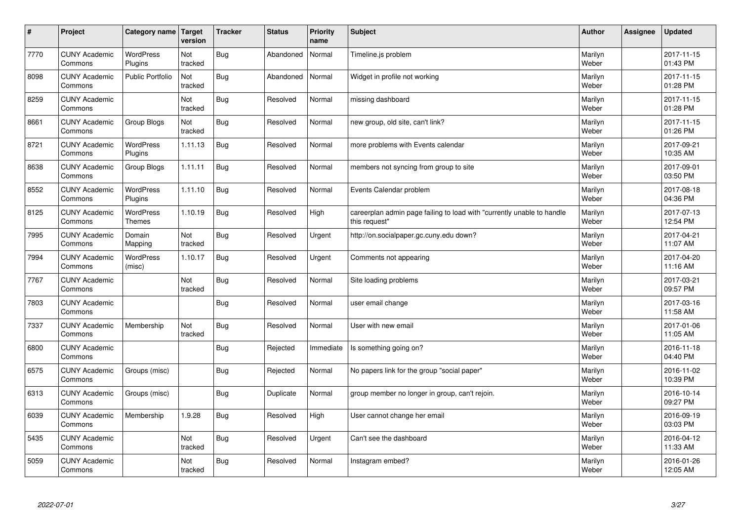| $\sharp$ | Project                         | Category name                     | Target<br>version | <b>Tracker</b> | <b>Status</b> | <b>Priority</b><br>name | <b>Subject</b>                                                                          | <b>Author</b>    | Assignee | <b>Updated</b>         |
|----------|---------------------------------|-----------------------------------|-------------------|----------------|---------------|-------------------------|-----------------------------------------------------------------------------------------|------------------|----------|------------------------|
| 7770     | <b>CUNY Academic</b><br>Commons | <b>WordPress</b><br>Plugins       | Not<br>tracked    | Bug            | Abandoned     | Normal                  | Timeline.js problem                                                                     | Marilyn<br>Weber |          | 2017-11-15<br>01:43 PM |
| 8098     | <b>CUNY Academic</b><br>Commons | Public Portfolio                  | Not<br>tracked    | Bug            | Abandoned     | Normal                  | Widget in profile not working                                                           | Marilyn<br>Weber |          | 2017-11-15<br>01:28 PM |
| 8259     | <b>CUNY Academic</b><br>Commons |                                   | Not<br>tracked    | <b>Bug</b>     | Resolved      | Normal                  | missing dashboard                                                                       | Marilyn<br>Weber |          | 2017-11-15<br>01:28 PM |
| 8661     | <b>CUNY Academic</b><br>Commons | Group Blogs                       | Not<br>tracked    | <b>Bug</b>     | Resolved      | Normal                  | new group, old site, can't link?                                                        | Marilyn<br>Weber |          | 2017-11-15<br>01:26 PM |
| 8721     | <b>CUNY Academic</b><br>Commons | <b>WordPress</b><br>Plugins       | 1.11.13           | <b>Bug</b>     | Resolved      | Normal                  | more problems with Events calendar                                                      | Marilyn<br>Weber |          | 2017-09-21<br>10:35 AM |
| 8638     | <b>CUNY Academic</b><br>Commons | Group Blogs                       | 1.11.11           | Bug            | Resolved      | Normal                  | members not syncing from group to site                                                  | Marilyn<br>Weber |          | 2017-09-01<br>03:50 PM |
| 8552     | <b>CUNY Academic</b><br>Commons | <b>WordPress</b><br>Plugins       | 1.11.10           | <b>Bug</b>     | Resolved      | Normal                  | Events Calendar problem                                                                 | Marilyn<br>Weber |          | 2017-08-18<br>04:36 PM |
| 8125     | <b>CUNY Academic</b><br>Commons | <b>WordPress</b><br><b>Themes</b> | 1.10.19           | <b>Bug</b>     | Resolved      | High                    | careerplan admin page failing to load with "currently unable to handle<br>this request" | Marilyn<br>Weber |          | 2017-07-13<br>12:54 PM |
| 7995     | <b>CUNY Academic</b><br>Commons | Domain<br>Mapping                 | Not<br>tracked    | Bug            | Resolved      | Urgent                  | http://on.socialpaper.gc.cuny.edu down?                                                 | Marilyn<br>Weber |          | 2017-04-21<br>11:07 AM |
| 7994     | <b>CUNY Academic</b><br>Commons | <b>WordPress</b><br>(misc)        | 1.10.17           | <b>Bug</b>     | Resolved      | Urgent                  | Comments not appearing                                                                  | Marilyn<br>Weber |          | 2017-04-20<br>11:16 AM |
| 7767     | <b>CUNY Academic</b><br>Commons |                                   | Not<br>tracked    | Bug            | Resolved      | Normal                  | Site loading problems                                                                   | Marilyn<br>Weber |          | 2017-03-21<br>09:57 PM |
| 7803     | <b>CUNY Academic</b><br>Commons |                                   |                   | Bug            | Resolved      | Normal                  | user email change                                                                       | Marilyn<br>Weber |          | 2017-03-16<br>11:58 AM |
| 7337     | <b>CUNY Academic</b><br>Commons | Membership                        | Not<br>tracked    | <b>Bug</b>     | Resolved      | Normal                  | User with new email                                                                     | Marilyn<br>Weber |          | 2017-01-06<br>11:05 AM |
| 6800     | <b>CUNY Academic</b><br>Commons |                                   |                   | <b>Bug</b>     | Rejected      | Immediate               | Is something going on?                                                                  | Marilyn<br>Weber |          | 2016-11-18<br>04:40 PM |
| 6575     | <b>CUNY Academic</b><br>Commons | Groups (misc)                     |                   | <b>Bug</b>     | Rejected      | Normal                  | No papers link for the group "social paper"                                             | Marilyn<br>Weber |          | 2016-11-02<br>10:39 PM |
| 6313     | <b>CUNY Academic</b><br>Commons | Groups (misc)                     |                   | <b>Bug</b>     | Duplicate     | Normal                  | group member no longer in group, can't rejoin.                                          | Marilyn<br>Weber |          | 2016-10-14<br>09:27 PM |
| 6039     | <b>CUNY Academic</b><br>Commons | Membership                        | 1.9.28            | <b>Bug</b>     | Resolved      | High                    | User cannot change her email                                                            | Marilyn<br>Weber |          | 2016-09-19<br>03:03 PM |
| 5435     | <b>CUNY Academic</b><br>Commons |                                   | Not<br>tracked    | Bug            | Resolved      | Urgent                  | Can't see the dashboard                                                                 | Marilyn<br>Weber |          | 2016-04-12<br>11:33 AM |
| 5059     | <b>CUNY Academic</b><br>Commons |                                   | Not<br>tracked    | Bug            | Resolved      | Normal                  | Instagram embed?                                                                        | Marilyn<br>Weber |          | 2016-01-26<br>12:05 AM |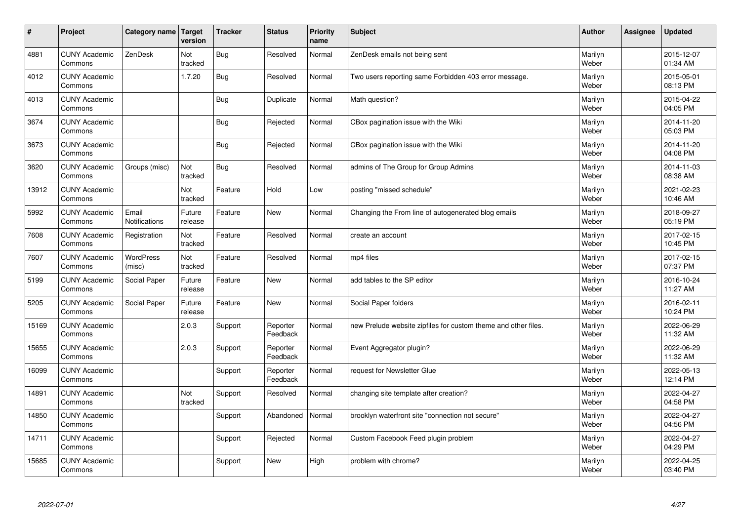| $\vert$ # | Project                         | Category name Target          | version           | <b>Tracker</b> | <b>Status</b>        | <b>Priority</b><br>name | Subject                                                        | <b>Author</b>    | Assignee | <b>Updated</b>         |
|-----------|---------------------------------|-------------------------------|-------------------|----------------|----------------------|-------------------------|----------------------------------------------------------------|------------------|----------|------------------------|
| 4881      | <b>CUNY Academic</b><br>Commons | ZenDesk                       | Not<br>tracked    | Bug            | Resolved             | Normal                  | ZenDesk emails not being sent                                  | Marilyn<br>Weber |          | 2015-12-07<br>01:34 AM |
| 4012      | <b>CUNY Academic</b><br>Commons |                               | 1.7.20            | Bug            | Resolved             | Normal                  | Two users reporting same Forbidden 403 error message.          | Marilyn<br>Weber |          | 2015-05-01<br>08:13 PM |
| 4013      | <b>CUNY Academic</b><br>Commons |                               |                   | Bug            | Duplicate            | Normal                  | Math question?                                                 | Marilyn<br>Weber |          | 2015-04-22<br>04:05 PM |
| 3674      | <b>CUNY Academic</b><br>Commons |                               |                   | Bug            | Rejected             | Normal                  | CBox pagination issue with the Wiki                            | Marilyn<br>Weber |          | 2014-11-20<br>05:03 PM |
| 3673      | <b>CUNY Academic</b><br>Commons |                               |                   | Bug            | Rejected             | Normal                  | CBox pagination issue with the Wiki                            | Marilyn<br>Weber |          | 2014-11-20<br>04:08 PM |
| 3620      | <b>CUNY Academic</b><br>Commons | Groups (misc)                 | Not<br>tracked    | <b>Bug</b>     | Resolved             | Normal                  | admins of The Group for Group Admins                           | Marilyn<br>Weber |          | 2014-11-03<br>08:38 AM |
| 13912     | <b>CUNY Academic</b><br>Commons |                               | Not<br>tracked    | Feature        | Hold                 | Low                     | posting "missed schedule"                                      | Marilyn<br>Weber |          | 2021-02-23<br>10:46 AM |
| 5992      | <b>CUNY Academic</b><br>Commons | Email<br><b>Notifications</b> | Future<br>release | Feature        | <b>New</b>           | Normal                  | Changing the From line of autogenerated blog emails            | Marilyn<br>Weber |          | 2018-09-27<br>05:19 PM |
| 7608      | <b>CUNY Academic</b><br>Commons | Registration                  | Not<br>tracked    | Feature        | Resolved             | Normal                  | create an account                                              | Marilyn<br>Weber |          | 2017-02-15<br>10:45 PM |
| 7607      | <b>CUNY Academic</b><br>Commons | WordPress<br>(misc)           | Not<br>tracked    | Feature        | Resolved             | Normal                  | mp4 files                                                      | Marilyn<br>Weber |          | 2017-02-15<br>07:37 PM |
| 5199      | <b>CUNY Academic</b><br>Commons | Social Paper                  | Future<br>release | Feature        | New                  | Normal                  | add tables to the SP editor                                    | Marilyn<br>Weber |          | 2016-10-24<br>11:27 AM |
| 5205      | <b>CUNY Academic</b><br>Commons | Social Paper                  | Future<br>release | Feature        | <b>New</b>           | Normal                  | Social Paper folders                                           | Marilyn<br>Weber |          | 2016-02-11<br>10:24 PM |
| 15169     | <b>CUNY Academic</b><br>Commons |                               | 2.0.3             | Support        | Reporter<br>Feedback | Normal                  | new Prelude website zipfiles for custom theme and other files. | Marilyn<br>Weber |          | 2022-06-29<br>11:32 AM |
| 15655     | <b>CUNY Academic</b><br>Commons |                               | 2.0.3             | Support        | Reporter<br>Feedback | Normal                  | Event Aggregator plugin?                                       | Marilyn<br>Weber |          | 2022-06-29<br>11:32 AM |
| 16099     | <b>CUNY Academic</b><br>Commons |                               |                   | Support        | Reporter<br>Feedback | Normal                  | request for Newsletter Glue                                    | Marilyn<br>Weber |          | 2022-05-13<br>12:14 PM |
| 14891     | <b>CUNY Academic</b><br>Commons |                               | Not<br>tracked    | Support        | Resolved             | Normal                  | changing site template after creation?                         | Marilyn<br>Weber |          | 2022-04-27<br>04:58 PM |
| 14850     | <b>CUNY Academic</b><br>Commons |                               |                   | Support        | Abandoned            | Normal                  | brooklyn waterfront site "connection not secure"               | Marilyn<br>Weber |          | 2022-04-27<br>04:56 PM |
| 14711     | <b>CUNY Academic</b><br>Commons |                               |                   | Support        | Rejected             | Normal                  | Custom Facebook Feed plugin problem                            | Marilyn<br>Weber |          | 2022-04-27<br>04:29 PM |
| 15685     | <b>CUNY Academic</b><br>Commons |                               |                   | Support        | <b>New</b>           | High                    | problem with chrome?                                           | Marilyn<br>Weber |          | 2022-04-25<br>03:40 PM |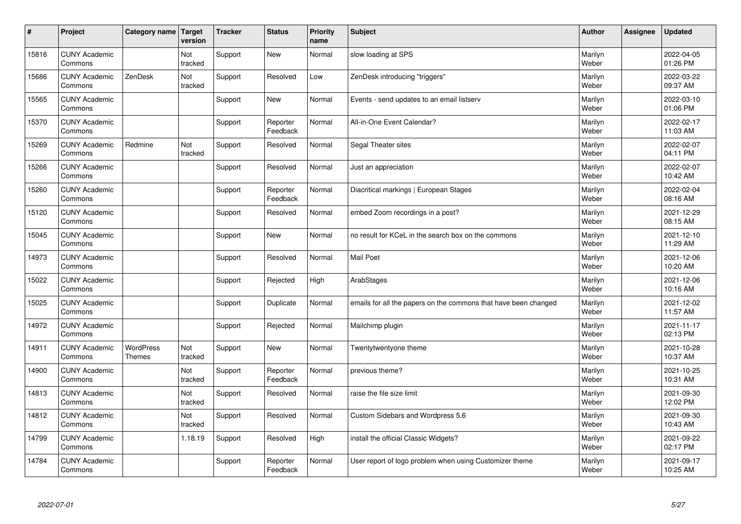| #     | Project                         | Category name   Target     | version        | <b>Tracker</b> | <b>Status</b>        | <b>Priority</b><br>name | <b>Subject</b>                                                  | <b>Author</b>    | Assignee | <b>Updated</b>         |
|-------|---------------------------------|----------------------------|----------------|----------------|----------------------|-------------------------|-----------------------------------------------------------------|------------------|----------|------------------------|
| 15816 | <b>CUNY Academic</b><br>Commons |                            | Not<br>tracked | Support        | <b>New</b>           | Normal                  | slow loading at SPS                                             | Marilyn<br>Weber |          | 2022-04-05<br>01:26 PM |
| 15686 | <b>CUNY Academic</b><br>Commons | ZenDesk                    | Not<br>tracked | Support        | Resolved             | Low                     | ZenDesk introducing "triggers"                                  | Marilyn<br>Weber |          | 2022-03-22<br>09:37 AM |
| 15565 | <b>CUNY Academic</b><br>Commons |                            |                | Support        | <b>New</b>           | Normal                  | Events - send updates to an email listserv                      | Marilyn<br>Weber |          | 2022-03-10<br>01:06 PM |
| 15370 | <b>CUNY Academic</b><br>Commons |                            |                | Support        | Reporter<br>Feedback | Normal                  | All-in-One Event Calendar?                                      | Marilyn<br>Weber |          | 2022-02-17<br>11:03 AM |
| 15269 | <b>CUNY Academic</b><br>Commons | Redmine                    | Not<br>tracked | Support        | Resolved             | Normal                  | Segal Theater sites                                             | Marilyn<br>Weber |          | 2022-02-07<br>04:11 PM |
| 15266 | <b>CUNY Academic</b><br>Commons |                            |                | Support        | Resolved             | Normal                  | Just an appreciation                                            | Marilyn<br>Weber |          | 2022-02-07<br>10:42 AM |
| 15260 | <b>CUNY Academic</b><br>Commons |                            |                | Support        | Reporter<br>Feedback | Normal                  | Diacritical markings   European Stages                          | Marilyn<br>Weber |          | 2022-02-04<br>08:16 AM |
| 15120 | <b>CUNY Academic</b><br>Commons |                            |                | Support        | Resolved             | Normal                  | embed Zoom recordings in a post?                                | Marilyn<br>Weber |          | 2021-12-29<br>08:15 AM |
| 15045 | <b>CUNY Academic</b><br>Commons |                            |                | Support        | <b>New</b>           | Normal                  | no result for KCeL in the search box on the commons             | Marilyn<br>Weber |          | 2021-12-10<br>11:29 AM |
| 14973 | <b>CUNY Academic</b><br>Commons |                            |                | Support        | Resolved             | Normal                  | <b>Mail Poet</b>                                                | Marilyn<br>Weber |          | 2021-12-06<br>10:20 AM |
| 15022 | <b>CUNY Academic</b><br>Commons |                            |                | Support        | Rejected             | High                    | ArabStages                                                      | Marilyn<br>Weber |          | 2021-12-06<br>10:16 AM |
| 15025 | <b>CUNY Academic</b><br>Commons |                            |                | Support        | Duplicate            | Normal                  | emails for all the papers on the commons that have been changed | Marilyn<br>Weber |          | 2021-12-02<br>11:57 AM |
| 14972 | <b>CUNY Academic</b><br>Commons |                            |                | Support        | Rejected             | Normal                  | Mailchimp plugin                                                | Marilyn<br>Weber |          | 2021-11-17<br>02:13 PM |
| 14911 | <b>CUNY Academic</b><br>Commons | WordPress<br><b>Themes</b> | Not<br>tracked | Support        | <b>New</b>           | Normal                  | Twentytwentyone theme                                           | Marilyn<br>Weber |          | 2021-10-28<br>10:37 AM |
| 14900 | <b>CUNY Academic</b><br>Commons |                            | Not<br>tracked | Support        | Reporter<br>Feedback | Normal                  | previous theme?                                                 | Marilyn<br>Weber |          | 2021-10-25<br>10:31 AM |
| 14813 | <b>CUNY Academic</b><br>Commons |                            | Not<br>tracked | Support        | Resolved             | Normal                  | raise the file size limit                                       | Marilyn<br>Weber |          | 2021-09-30<br>12:02 PM |
| 14812 | <b>CUNY Academic</b><br>Commons |                            | Not<br>tracked | Support        | Resolved             | Normal                  | Custom Sidebars and Wordpress 5.6                               | Marilyn<br>Weber |          | 2021-09-30<br>10:43 AM |
| 14799 | <b>CUNY Academic</b><br>Commons |                            | 1.18.19        | Support        | Resolved             | High                    | install the official Classic Widgets?                           | Marilyn<br>Weber |          | 2021-09-22<br>02:17 PM |
| 14784 | <b>CUNY Academic</b><br>Commons |                            |                | Support        | Reporter<br>Feedback | Normal                  | User report of logo problem when using Customizer theme         | Marilyn<br>Weber |          | 2021-09-17<br>10:25 AM |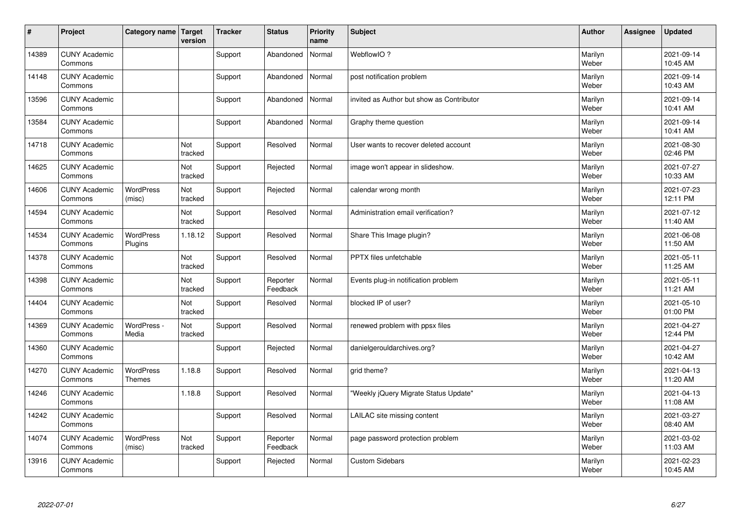| $\sharp$ | Project                         | Category name   Target      | version        | <b>Tracker</b> | <b>Status</b>        | <b>Priority</b><br>name | <b>Subject</b>                            | <b>Author</b>    | Assignee | <b>Updated</b>         |
|----------|---------------------------------|-----------------------------|----------------|----------------|----------------------|-------------------------|-------------------------------------------|------------------|----------|------------------------|
| 14389    | <b>CUNY Academic</b><br>Commons |                             |                | Support        | Abandoned            | Normal                  | WebflowIO?                                | Marilyn<br>Weber |          | 2021-09-14<br>10:45 AM |
| 14148    | <b>CUNY Academic</b><br>Commons |                             |                | Support        | Abandoned            | Normal                  | post notification problem                 | Marilyn<br>Weber |          | 2021-09-14<br>10:43 AM |
| 13596    | <b>CUNY Academic</b><br>Commons |                             |                | Support        | Abandoned            | Normal                  | invited as Author but show as Contributor | Marilyn<br>Weber |          | 2021-09-14<br>10:41 AM |
| 13584    | <b>CUNY Academic</b><br>Commons |                             |                | Support        | Abandoned            | Normal                  | Graphy theme question                     | Marilyn<br>Weber |          | 2021-09-14<br>10:41 AM |
| 14718    | <b>CUNY Academic</b><br>Commons |                             | Not<br>tracked | Support        | Resolved             | Normal                  | User wants to recover deleted account     | Marilyn<br>Weber |          | 2021-08-30<br>02:46 PM |
| 14625    | <b>CUNY Academic</b><br>Commons |                             | Not<br>tracked | Support        | Rejected             | Normal                  | image won't appear in slideshow.          | Marilyn<br>Weber |          | 2021-07-27<br>10:33 AM |
| 14606    | <b>CUNY Academic</b><br>Commons | <b>WordPress</b><br>(misc)  | Not<br>tracked | Support        | Rejected             | Normal                  | calendar wrong month                      | Marilyn<br>Weber |          | 2021-07-23<br>12:11 PM |
| 14594    | <b>CUNY Academic</b><br>Commons |                             | Not<br>tracked | Support        | Resolved             | Normal                  | Administration email verification?        | Marilyn<br>Weber |          | 2021-07-12<br>11:40 AM |
| 14534    | <b>CUNY Academic</b><br>Commons | <b>WordPress</b><br>Plugins | 1.18.12        | Support        | Resolved             | Normal                  | Share This Image plugin?                  | Marilyn<br>Weber |          | 2021-06-08<br>11:50 AM |
| 14378    | <b>CUNY Academic</b><br>Commons |                             | Not<br>tracked | Support        | Resolved             | Normal                  | PPTX files unfetchable                    | Marilyn<br>Weber |          | 2021-05-11<br>11:25 AM |
| 14398    | <b>CUNY Academic</b><br>Commons |                             | Not<br>tracked | Support        | Reporter<br>Feedback | Normal                  | Events plug-in notification problem       | Marilyn<br>Weber |          | 2021-05-11<br>11:21 AM |
| 14404    | <b>CUNY Academic</b><br>Commons |                             | Not<br>tracked | Support        | Resolved             | Normal                  | blocked IP of user?                       | Marilyn<br>Weber |          | 2021-05-10<br>01:00 PM |
| 14369    | <b>CUNY Academic</b><br>Commons | WordPress -<br>Media        | Not<br>tracked | Support        | Resolved             | Normal                  | renewed problem with ppsx files           | Marilyn<br>Weber |          | 2021-04-27<br>12:44 PM |
| 14360    | <b>CUNY Academic</b><br>Commons |                             |                | Support        | Rejected             | Normal                  | danielgerouldarchives.org?                | Marilyn<br>Weber |          | 2021-04-27<br>10:42 AM |
| 14270    | <b>CUNY Academic</b><br>Commons | <b>WordPress</b><br>Themes  | 1.18.8         | Support        | Resolved             | Normal                  | grid theme?                               | Marilyn<br>Weber |          | 2021-04-13<br>11:20 AM |
| 14246    | <b>CUNY Academic</b><br>Commons |                             | 1.18.8         | Support        | Resolved             | Normal                  | "Weekly jQuery Migrate Status Update"     | Marilyn<br>Weber |          | 2021-04-13<br>11:08 AM |
| 14242    | <b>CUNY Academic</b><br>Commons |                             |                | Support        | Resolved             | Normal                  | LAILAC site missing content               | Marilyn<br>Weber |          | 2021-03-27<br>08:40 AM |
| 14074    | <b>CUNY Academic</b><br>Commons | <b>WordPress</b><br>(misc)  | Not<br>tracked | Support        | Reporter<br>Feedback | Normal                  | page password protection problem          | Marilyn<br>Weber |          | 2021-03-02<br>11:03 AM |
| 13916    | <b>CUNY Academic</b><br>Commons |                             |                | Support        | Rejected             | Normal                  | <b>Custom Sidebars</b>                    | Marilyn<br>Weber |          | 2021-02-23<br>10:45 AM |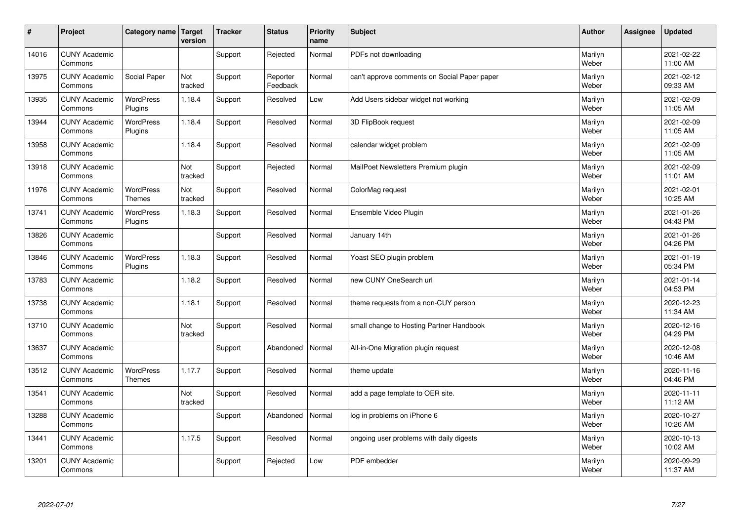| #     | Project                         | Category name Target              | version        | <b>Tracker</b> | <b>Status</b>        | <b>Priority</b><br>name | <b>Subject</b>                               | <b>Author</b>    | Assignee | <b>Updated</b>         |
|-------|---------------------------------|-----------------------------------|----------------|----------------|----------------------|-------------------------|----------------------------------------------|------------------|----------|------------------------|
| 14016 | <b>CUNY Academic</b><br>Commons |                                   |                | Support        | Rejected             | Normal                  | PDFs not downloading                         | Marilyn<br>Weber |          | 2021-02-22<br>11:00 AM |
| 13975 | <b>CUNY Academic</b><br>Commons | Social Paper                      | Not<br>tracked | Support        | Reporter<br>Feedback | Normal                  | can't approve comments on Social Paper paper | Marilyn<br>Weber |          | 2021-02-12<br>09:33 AM |
| 13935 | <b>CUNY Academic</b><br>Commons | <b>WordPress</b><br>Plugins       | 1.18.4         | Support        | Resolved             | Low                     | Add Users sidebar widget not working         | Marilyn<br>Weber |          | 2021-02-09<br>11:05 AM |
| 13944 | <b>CUNY Academic</b><br>Commons | <b>WordPress</b><br>Plugins       | 1.18.4         | Support        | Resolved             | Normal                  | 3D FlipBook request                          | Marilyn<br>Weber |          | 2021-02-09<br>11:05 AM |
| 13958 | <b>CUNY Academic</b><br>Commons |                                   | 1.18.4         | Support        | Resolved             | Normal                  | calendar widget problem                      | Marilyn<br>Weber |          | 2021-02-09<br>11:05 AM |
| 13918 | <b>CUNY Academic</b><br>Commons |                                   | Not<br>tracked | Support        | Rejected             | Normal                  | MailPoet Newsletters Premium plugin          | Marilyn<br>Weber |          | 2021-02-09<br>11:01 AM |
| 11976 | <b>CUNY Academic</b><br>Commons | <b>WordPress</b><br><b>Themes</b> | Not<br>tracked | Support        | Resolved             | Normal                  | ColorMag request                             | Marilyn<br>Weber |          | 2021-02-01<br>10:25 AM |
| 13741 | <b>CUNY Academic</b><br>Commons | WordPress<br>Plugins              | 1.18.3         | Support        | Resolved             | Normal                  | Ensemble Video Plugin                        | Marilyn<br>Weber |          | 2021-01-26<br>04:43 PM |
| 13826 | <b>CUNY Academic</b><br>Commons |                                   |                | Support        | Resolved             | Normal                  | January 14th                                 | Marilyn<br>Weber |          | 2021-01-26<br>04:26 PM |
| 13846 | <b>CUNY Academic</b><br>Commons | WordPress<br>Plugins              | 1.18.3         | Support        | Resolved             | Normal                  | Yoast SEO plugin problem                     | Marilyn<br>Weber |          | 2021-01-19<br>05:34 PM |
| 13783 | <b>CUNY Academic</b><br>Commons |                                   | 1.18.2         | Support        | Resolved             | Normal                  | new CUNY OneSearch url                       | Marilyn<br>Weber |          | 2021-01-14<br>04:53 PM |
| 13738 | <b>CUNY Academic</b><br>Commons |                                   | 1.18.1         | Support        | Resolved             | Normal                  | theme requests from a non-CUY person         | Marilyn<br>Weber |          | 2020-12-23<br>11:34 AM |
| 13710 | <b>CUNY Academic</b><br>Commons |                                   | Not<br>tracked | Support        | Resolved             | Normal                  | small change to Hosting Partner Handbook     | Marilyn<br>Weber |          | 2020-12-16<br>04:29 PM |
| 13637 | <b>CUNY Academic</b><br>Commons |                                   |                | Support        | Abandoned            | Normal                  | All-in-One Migration plugin request          | Marilyn<br>Weber |          | 2020-12-08<br>10:46 AM |
| 13512 | <b>CUNY Academic</b><br>Commons | <b>WordPress</b><br><b>Themes</b> | 1.17.7         | Support        | Resolved             | Normal                  | theme update                                 | Marilyn<br>Weber |          | 2020-11-16<br>04:46 PM |
| 13541 | <b>CUNY Academic</b><br>Commons |                                   | Not<br>tracked | Support        | Resolved             | Normal                  | add a page template to OER site.             | Marilyn<br>Weber |          | 2020-11-11<br>11:12 AM |
| 13288 | <b>CUNY Academic</b><br>Commons |                                   |                | Support        | Abandoned            | Normal                  | log in problems on iPhone 6                  | Marilyn<br>Weber |          | 2020-10-27<br>10:26 AM |
| 13441 | <b>CUNY Academic</b><br>Commons |                                   | 1.17.5         | Support        | Resolved             | Normal                  | ongoing user problems with daily digests     | Marilyn<br>Weber |          | 2020-10-13<br>10:02 AM |
| 13201 | <b>CUNY Academic</b><br>Commons |                                   |                | Support        | Rejected             | Low                     | PDF embedder                                 | Marilyn<br>Weber |          | 2020-09-29<br>11:37 AM |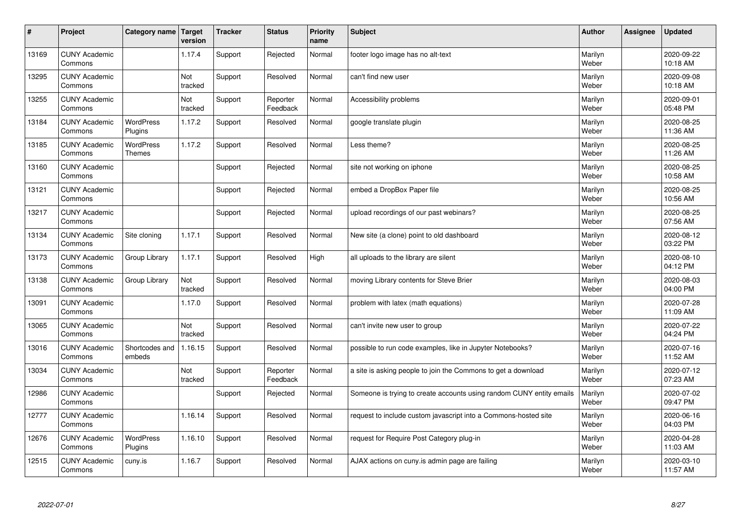| $\sharp$ | Project                         | Category name   Target            | version        | <b>Tracker</b> | <b>Status</b>        | <b>Priority</b><br>name | <b>Subject</b>                                                       | <b>Author</b>    | <b>Assignee</b> | <b>Updated</b>         |
|----------|---------------------------------|-----------------------------------|----------------|----------------|----------------------|-------------------------|----------------------------------------------------------------------|------------------|-----------------|------------------------|
| 13169    | <b>CUNY Academic</b><br>Commons |                                   | 1.17.4         | Support        | Rejected             | Normal                  | footer logo image has no alt-text                                    | Marilyn<br>Weber |                 | 2020-09-22<br>10:18 AM |
| 13295    | <b>CUNY Academic</b><br>Commons |                                   | Not<br>tracked | Support        | Resolved             | Normal                  | can't find new user                                                  | Marilyn<br>Weber |                 | 2020-09-08<br>10:18 AM |
| 13255    | <b>CUNY Academic</b><br>Commons |                                   | Not<br>tracked | Support        | Reporter<br>Feedback | Normal                  | Accessibility problems                                               | Marilyn<br>Weber |                 | 2020-09-01<br>05:48 PM |
| 13184    | <b>CUNY Academic</b><br>Commons | <b>WordPress</b><br>Plugins       | 1.17.2         | Support        | Resolved             | Normal                  | google translate plugin                                              | Marilyn<br>Weber |                 | 2020-08-25<br>11:36 AM |
| 13185    | <b>CUNY Academic</b><br>Commons | <b>WordPress</b><br><b>Themes</b> | 1.17.2         | Support        | Resolved             | Normal                  | Less theme?                                                          | Marilyn<br>Weber |                 | 2020-08-25<br>11:26 AM |
| 13160    | <b>CUNY Academic</b><br>Commons |                                   |                | Support        | Rejected             | Normal                  | site not working on iphone                                           | Marilyn<br>Weber |                 | 2020-08-25<br>10:58 AM |
| 13121    | <b>CUNY Academic</b><br>Commons |                                   |                | Support        | Rejected             | Normal                  | embed a DropBox Paper file                                           | Marilyn<br>Weber |                 | 2020-08-25<br>10:56 AM |
| 13217    | <b>CUNY Academic</b><br>Commons |                                   |                | Support        | Rejected             | Normal                  | upload recordings of our past webinars?                              | Marilyn<br>Weber |                 | 2020-08-25<br>07:56 AM |
| 13134    | <b>CUNY Academic</b><br>Commons | Site cloning                      | 1.17.1         | Support        | Resolved             | Normal                  | New site (a clone) point to old dashboard                            | Marilyn<br>Weber |                 | 2020-08-12<br>03:22 PM |
| 13173    | <b>CUNY Academic</b><br>Commons | Group Library                     | 1.17.1         | Support        | Resolved             | High                    | all uploads to the library are silent                                | Marilyn<br>Weber |                 | 2020-08-10<br>04:12 PM |
| 13138    | <b>CUNY Academic</b><br>Commons | Group Library                     | Not<br>tracked | Support        | Resolved             | Normal                  | moving Library contents for Steve Brier                              | Marilyn<br>Weber |                 | 2020-08-03<br>04:00 PM |
| 13091    | <b>CUNY Academic</b><br>Commons |                                   | 1.17.0         | Support        | Resolved             | Normal                  | problem with latex (math equations)                                  | Marilyn<br>Weber |                 | 2020-07-28<br>11:09 AM |
| 13065    | <b>CUNY Academic</b><br>Commons |                                   | Not<br>tracked | Support        | Resolved             | Normal                  | can't invite new user to group                                       | Marilyn<br>Weber |                 | 2020-07-22<br>04:24 PM |
| 13016    | <b>CUNY Academic</b><br>Commons | Shortcodes and<br>embeds          | 1.16.15        | Support        | Resolved             | Normal                  | possible to run code examples, like in Jupyter Notebooks?            | Marilyn<br>Weber |                 | 2020-07-16<br>11:52 AM |
| 13034    | <b>CUNY Academic</b><br>Commons |                                   | Not<br>tracked | Support        | Reporter<br>Feedback | Normal                  | a site is asking people to join the Commons to get a download        | Marilyn<br>Weber |                 | 2020-07-12<br>07:23 AM |
| 12986    | <b>CUNY Academic</b><br>Commons |                                   |                | Support        | Rejected             | Normal                  | Someone is trying to create accounts using random CUNY entity emails | Marilyn<br>Weber |                 | 2020-07-02<br>09:47 PM |
| 12777    | <b>CUNY Academic</b><br>Commons |                                   | 1.16.14        | Support        | Resolved             | Normal                  | request to include custom javascript into a Commons-hosted site      | Marilyn<br>Weber |                 | 2020-06-16<br>04:03 PM |
| 12676    | <b>CUNY Academic</b><br>Commons | <b>WordPress</b><br>Plugins       | 1.16.10        | Support        | Resolved             | Normal                  | request for Require Post Category plug-in                            | Marilyn<br>Weber |                 | 2020-04-28<br>11:03 AM |
| 12515    | <b>CUNY Academic</b><br>Commons | cuny.is                           | 1.16.7         | Support        | Resolved             | Normal                  | AJAX actions on cuny is admin page are failing                       | Marilyn<br>Weber |                 | 2020-03-10<br>11:57 AM |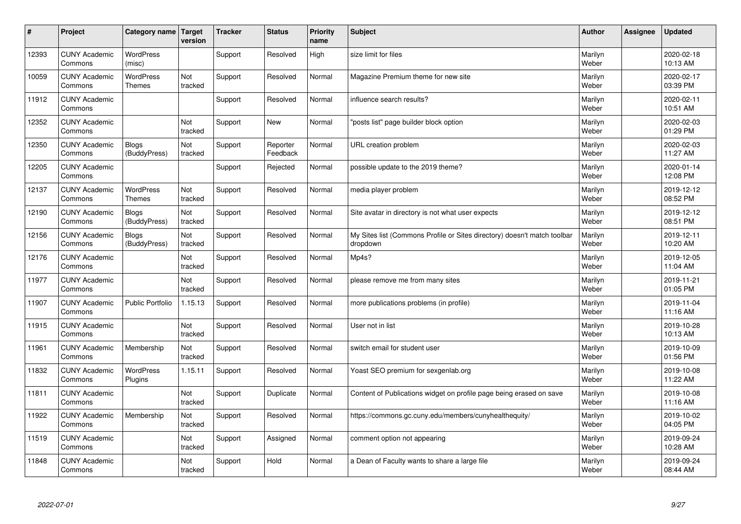| #     | Project                         | Category name                | Target<br>version | <b>Tracker</b> | <b>Status</b>        | <b>Priority</b><br>name | <b>Subject</b>                                                                       | <b>Author</b>    | Assignee | <b>Updated</b>         |
|-------|---------------------------------|------------------------------|-------------------|----------------|----------------------|-------------------------|--------------------------------------------------------------------------------------|------------------|----------|------------------------|
| 12393 | <b>CUNY Academic</b><br>Commons | <b>WordPress</b><br>(misc)   |                   | Support        | Resolved             | High                    | size limit for files                                                                 | Marilyn<br>Weber |          | 2020-02-18<br>10:13 AM |
| 10059 | <b>CUNY Academic</b><br>Commons | <b>WordPress</b><br>Themes   | Not<br>tracked    | Support        | Resolved             | Normal                  | Magazine Premium theme for new site                                                  | Marilyn<br>Weber |          | 2020-02-17<br>03:39 PM |
| 11912 | <b>CUNY Academic</b><br>Commons |                              |                   | Support        | Resolved             | Normal                  | influence search results?                                                            | Marilyn<br>Weber |          | 2020-02-11<br>10:51 AM |
| 12352 | <b>CUNY Academic</b><br>Commons |                              | Not<br>tracked    | Support        | <b>New</b>           | Normal                  | "posts list" page builder block option                                               | Marilyn<br>Weber |          | 2020-02-03<br>01:29 PM |
| 12350 | <b>CUNY Academic</b><br>Commons | <b>Blogs</b><br>(BuddyPress) | Not<br>tracked    | Support        | Reporter<br>Feedback | Normal                  | URL creation problem                                                                 | Marilyn<br>Weber |          | 2020-02-03<br>11:27 AM |
| 12205 | <b>CUNY Academic</b><br>Commons |                              |                   | Support        | Rejected             | Normal                  | possible update to the 2019 theme?                                                   | Marilyn<br>Weber |          | 2020-01-14<br>12:08 PM |
| 12137 | <b>CUNY Academic</b><br>Commons | <b>WordPress</b><br>Themes   | Not<br>tracked    | Support        | Resolved             | Normal                  | media player problem                                                                 | Marilyn<br>Weber |          | 2019-12-12<br>08:52 PM |
| 12190 | <b>CUNY Academic</b><br>Commons | <b>Blogs</b><br>(BuddyPress) | Not<br>tracked    | Support        | Resolved             | Normal                  | Site avatar in directory is not what user expects                                    | Marilyn<br>Weber |          | 2019-12-12<br>08:51 PM |
| 12156 | <b>CUNY Academic</b><br>Commons | <b>Blogs</b><br>(BuddyPress) | Not<br>tracked    | Support        | Resolved             | Normal                  | My Sites list (Commons Profile or Sites directory) doesn't match toolbar<br>dropdown | Marilyn<br>Weber |          | 2019-12-11<br>10:20 AM |
| 12176 | <b>CUNY Academic</b><br>Commons |                              | Not<br>tracked    | Support        | Resolved             | Normal                  | Mp4s?                                                                                | Marilyn<br>Weber |          | 2019-12-05<br>11:04 AM |
| 11977 | <b>CUNY Academic</b><br>Commons |                              | Not<br>tracked    | Support        | Resolved             | Normal                  | please remove me from many sites                                                     | Marilyn<br>Weber |          | 2019-11-21<br>01:05 PM |
| 11907 | <b>CUNY Academic</b><br>Commons | <b>Public Portfolio</b>      | 1.15.13           | Support        | Resolved             | Normal                  | more publications problems (in profile)                                              | Marilyn<br>Weber |          | 2019-11-04<br>11:16 AM |
| 11915 | <b>CUNY Academic</b><br>Commons |                              | Not<br>tracked    | Support        | Resolved             | Normal                  | User not in list                                                                     | Marilyn<br>Weber |          | 2019-10-28<br>10:13 AM |
| 11961 | <b>CUNY Academic</b><br>Commons | Membership                   | Not<br>tracked    | Support        | Resolved             | Normal                  | switch email for student user                                                        | Marilyn<br>Weber |          | 2019-10-09<br>01:56 PM |
| 11832 | <b>CUNY Academic</b><br>Commons | <b>WordPress</b><br>Plugins  | 1.15.11           | Support        | Resolved             | Normal                  | Yoast SEO premium for sexgenlab.org                                                  | Marilyn<br>Weber |          | 2019-10-08<br>11:22 AM |
| 11811 | <b>CUNY Academic</b><br>Commons |                              | Not<br>tracked    | Support        | Duplicate            | Normal                  | Content of Publications widget on profile page being erased on save                  | Marilyn<br>Weber |          | 2019-10-08<br>11:16 AM |
| 11922 | <b>CUNY Academic</b><br>Commons | Membership                   | Not<br>tracked    | Support        | Resolved             | Normal                  | https://commons.gc.cuny.edu/members/cunyhealthequity/                                | Marilyn<br>Weber |          | 2019-10-02<br>04:05 PM |
| 11519 | <b>CUNY Academic</b><br>Commons |                              | Not<br>tracked    | Support        | Assigned             | Normal                  | comment option not appearing                                                         | Marilyn<br>Weber |          | 2019-09-24<br>10:28 AM |
| 11848 | <b>CUNY Academic</b><br>Commons |                              | Not<br>tracked    | Support        | Hold                 | Normal                  | a Dean of Faculty wants to share a large file                                        | Marilyn<br>Weber |          | 2019-09-24<br>08:44 AM |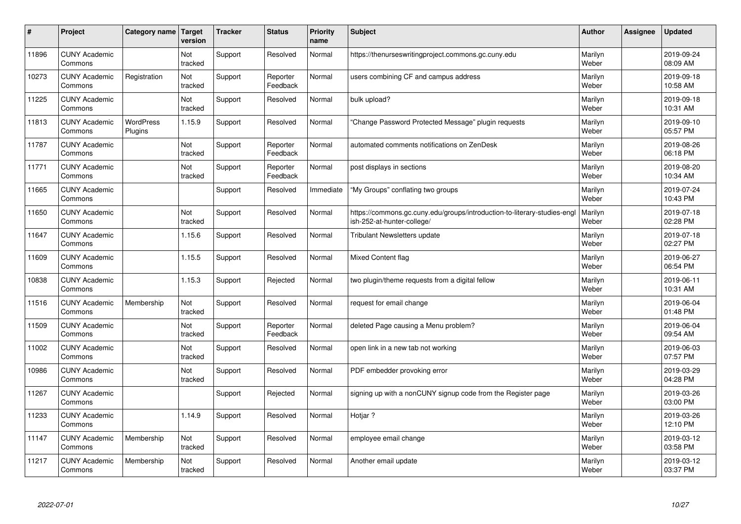| $\vert$ # | Project                         | Category name               | Target<br>version | <b>Tracker</b> | <b>Status</b>        | <b>Priority</b><br>name | <b>Subject</b>                                                                                         | <b>Author</b>    | Assignee | <b>Updated</b>         |
|-----------|---------------------------------|-----------------------------|-------------------|----------------|----------------------|-------------------------|--------------------------------------------------------------------------------------------------------|------------------|----------|------------------------|
| 11896     | <b>CUNY Academic</b><br>Commons |                             | Not<br>tracked    | Support        | Resolved             | Normal                  | https://thenurseswritingproject.commons.gc.cuny.edu                                                    | Marilyn<br>Weber |          | 2019-09-24<br>08:09 AM |
| 10273     | <b>CUNY Academic</b><br>Commons | Registration                | Not<br>tracked    | Support        | Reporter<br>Feedback | Normal                  | users combining CF and campus address                                                                  | Marilyn<br>Weber |          | 2019-09-18<br>10:58 AM |
| 11225     | <b>CUNY Academic</b><br>Commons |                             | Not<br>tracked    | Support        | Resolved             | Normal                  | bulk upload?                                                                                           | Marilyn<br>Weber |          | 2019-09-18<br>10:31 AM |
| 11813     | <b>CUNY Academic</b><br>Commons | <b>WordPress</b><br>Plugins | 1.15.9            | Support        | Resolved             | Normal                  | 'Change Password Protected Message" plugin requests                                                    | Marilyn<br>Weber |          | 2019-09-10<br>05:57 PM |
| 11787     | <b>CUNY Academic</b><br>Commons |                             | Not<br>tracked    | Support        | Reporter<br>Feedback | Normal                  | automated comments notifications on ZenDesk                                                            | Marilyn<br>Weber |          | 2019-08-26<br>06:18 PM |
| 11771     | <b>CUNY Academic</b><br>Commons |                             | Not<br>tracked    | Support        | Reporter<br>Feedback | Normal                  | post displays in sections                                                                              | Marilyn<br>Weber |          | 2019-08-20<br>10:34 AM |
| 11665     | <b>CUNY Academic</b><br>Commons |                             |                   | Support        | Resolved             | Immediate               | "My Groups" conflating two groups                                                                      | Marilyn<br>Weber |          | 2019-07-24<br>10:43 PM |
| 11650     | <b>CUNY Academic</b><br>Commons |                             | Not<br>tracked    | Support        | Resolved             | Normal                  | https://commons.gc.cuny.edu/groups/introduction-to-literary-studies-engl<br>ish-252-at-hunter-college/ | Marilyn<br>Weber |          | 2019-07-18<br>02:28 PM |
| 11647     | <b>CUNY Academic</b><br>Commons |                             | 1.15.6            | Support        | Resolved             | Normal                  | <b>Tribulant Newsletters update</b>                                                                    | Marilyn<br>Weber |          | 2019-07-18<br>02:27 PM |
| 11609     | <b>CUNY Academic</b><br>Commons |                             | 1.15.5            | Support        | Resolved             | Normal                  | Mixed Content flag                                                                                     | Marilyn<br>Weber |          | 2019-06-27<br>06:54 PM |
| 10838     | <b>CUNY Academic</b><br>Commons |                             | 1.15.3            | Support        | Rejected             | Normal                  | two plugin/theme requests from a digital fellow                                                        | Marilyn<br>Weber |          | 2019-06-11<br>10:31 AM |
| 11516     | <b>CUNY Academic</b><br>Commons | Membership                  | Not<br>tracked    | Support        | Resolved             | Normal                  | request for email change                                                                               | Marilyn<br>Weber |          | 2019-06-04<br>01:48 PM |
| 11509     | <b>CUNY Academic</b><br>Commons |                             | Not<br>tracked    | Support        | Reporter<br>Feedback | Normal                  | deleted Page causing a Menu problem?                                                                   | Marilyn<br>Weber |          | 2019-06-04<br>09:54 AM |
| 11002     | <b>CUNY Academic</b><br>Commons |                             | Not<br>tracked    | Support        | Resolved             | Normal                  | open link in a new tab not working                                                                     | Marilyn<br>Weber |          | 2019-06-03<br>07:57 PM |
| 10986     | <b>CUNY Academic</b><br>Commons |                             | Not<br>tracked    | Support        | Resolved             | Normal                  | PDF embedder provoking error                                                                           | Marilyn<br>Weber |          | 2019-03-29<br>04:28 PM |
| 11267     | <b>CUNY Academic</b><br>Commons |                             |                   | Support        | Rejected             | Normal                  | signing up with a nonCUNY signup code from the Register page                                           | Marilyn<br>Weber |          | 2019-03-26<br>03:00 PM |
| 11233     | <b>CUNY Academic</b><br>Commons |                             | 1.14.9            | Support        | Resolved             | Normal                  | Hotjar ?                                                                                               | Marilyn<br>Weber |          | 2019-03-26<br>12:10 PM |
| 11147     | <b>CUNY Academic</b><br>Commons | Membership                  | Not<br>tracked    | Support        | Resolved             | Normal                  | employee email change                                                                                  | Marilyn<br>Weber |          | 2019-03-12<br>03:58 PM |
| 11217     | <b>CUNY Academic</b><br>Commons | Membership                  | Not<br>tracked    | Support        | Resolved             | Normal                  | Another email update                                                                                   | Marilyn<br>Weber |          | 2019-03-12<br>03:37 PM |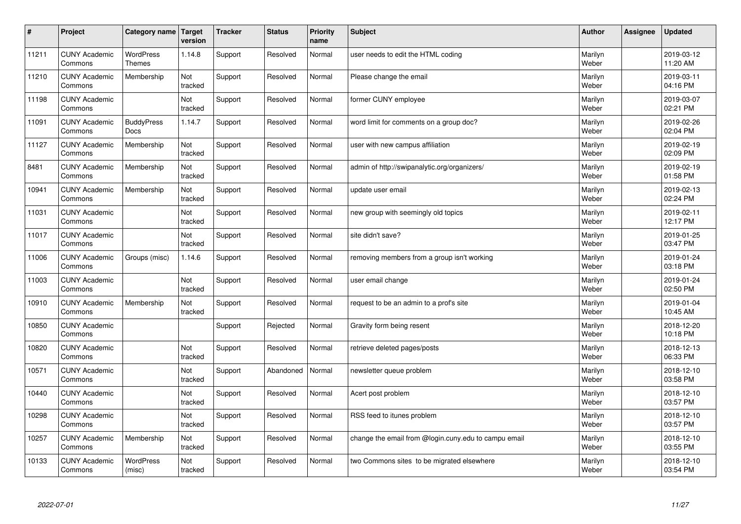| $\sharp$ | Project                         | Category name              | Target<br>version | <b>Tracker</b> | <b>Status</b> | <b>Priority</b><br>name | <b>Subject</b>                                       | <b>Author</b>    | Assignee | <b>Updated</b>         |
|----------|---------------------------------|----------------------------|-------------------|----------------|---------------|-------------------------|------------------------------------------------------|------------------|----------|------------------------|
| 11211    | <b>CUNY Academic</b><br>Commons | <b>WordPress</b><br>Themes | 1.14.8            | Support        | Resolved      | Normal                  | user needs to edit the HTML coding                   | Marilyn<br>Weber |          | 2019-03-12<br>11:20 AM |
| 11210    | <b>CUNY Academic</b><br>Commons | Membership                 | Not<br>tracked    | Support        | Resolved      | Normal                  | Please change the email                              | Marilyn<br>Weber |          | 2019-03-11<br>04:16 PM |
| 11198    | <b>CUNY Academic</b><br>Commons |                            | Not<br>tracked    | Support        | Resolved      | Normal                  | former CUNY employee                                 | Marilyn<br>Weber |          | 2019-03-07<br>02:21 PM |
| 11091    | <b>CUNY Academic</b><br>Commons | <b>BuddyPress</b><br>Docs  | 1.14.7            | Support        | Resolved      | Normal                  | word limit for comments on a group doc?              | Marilyn<br>Weber |          | 2019-02-26<br>02:04 PM |
| 11127    | <b>CUNY Academic</b><br>Commons | Membership                 | Not<br>tracked    | Support        | Resolved      | Normal                  | user with new campus affiliation                     | Marilyn<br>Weber |          | 2019-02-19<br>02:09 PM |
| 8481     | <b>CUNY Academic</b><br>Commons | Membership                 | Not<br>tracked    | Support        | Resolved      | Normal                  | admin of http://swipanalytic.org/organizers/         | Marilyn<br>Weber |          | 2019-02-19<br>01:58 PM |
| 10941    | <b>CUNY Academic</b><br>Commons | Membership                 | Not<br>tracked    | Support        | Resolved      | Normal                  | update user email                                    | Marilyn<br>Weber |          | 2019-02-13<br>02:24 PM |
| 11031    | <b>CUNY Academic</b><br>Commons |                            | Not<br>tracked    | Support        | Resolved      | Normal                  | new group with seemingly old topics                  | Marilyn<br>Weber |          | 2019-02-11<br>12:17 PM |
| 11017    | <b>CUNY Academic</b><br>Commons |                            | Not<br>tracked    | Support        | Resolved      | Normal                  | site didn't save?                                    | Marilyn<br>Weber |          | 2019-01-25<br>03:47 PM |
| 11006    | <b>CUNY Academic</b><br>Commons | Groups (misc)              | 1.14.6            | Support        | Resolved      | Normal                  | removing members from a group isn't working          | Marilyn<br>Weber |          | 2019-01-24<br>03:18 PM |
| 11003    | <b>CUNY Academic</b><br>Commons |                            | Not<br>tracked    | Support        | Resolved      | Normal                  | user email change                                    | Marilyn<br>Weber |          | 2019-01-24<br>02:50 PM |
| 10910    | <b>CUNY Academic</b><br>Commons | Membership                 | Not<br>tracked    | Support        | Resolved      | Normal                  | request to be an admin to a prof's site              | Marilyn<br>Weber |          | 2019-01-04<br>10:45 AM |
| 10850    | <b>CUNY Academic</b><br>Commons |                            |                   | Support        | Rejected      | Normal                  | Gravity form being resent                            | Marilyn<br>Weber |          | 2018-12-20<br>10:18 PM |
| 10820    | <b>CUNY Academic</b><br>Commons |                            | Not<br>tracked    | Support        | Resolved      | Normal                  | retrieve deleted pages/posts                         | Marilyn<br>Weber |          | 2018-12-13<br>06:33 PM |
| 10571    | <b>CUNY Academic</b><br>Commons |                            | Not<br>tracked    | Support        | Abandoned     | Normal                  | newsletter queue problem                             | Marilyn<br>Weber |          | 2018-12-10<br>03:58 PM |
| 10440    | <b>CUNY Academic</b><br>Commons |                            | Not<br>tracked    | Support        | Resolved      | Normal                  | Acert post problem                                   | Marilyn<br>Weber |          | 2018-12-10<br>03:57 PM |
| 10298    | <b>CUNY Academic</b><br>Commons |                            | Not<br>tracked    | Support        | Resolved      | Normal                  | RSS feed to itunes problem                           | Marilyn<br>Weber |          | 2018-12-10<br>03:57 PM |
| 10257    | <b>CUNY Academic</b><br>Commons | Membership                 | Not<br>tracked    | Support        | Resolved      | Normal                  | change the email from @login.cuny.edu to campu email | Marilyn<br>Weber |          | 2018-12-10<br>03:55 PM |
| 10133    | <b>CUNY Academic</b><br>Commons | <b>WordPress</b><br>(misc) | Not<br>tracked    | Support        | Resolved      | Normal                  | two Commons sites to be migrated elsewhere           | Marilyn<br>Weber |          | 2018-12-10<br>03:54 PM |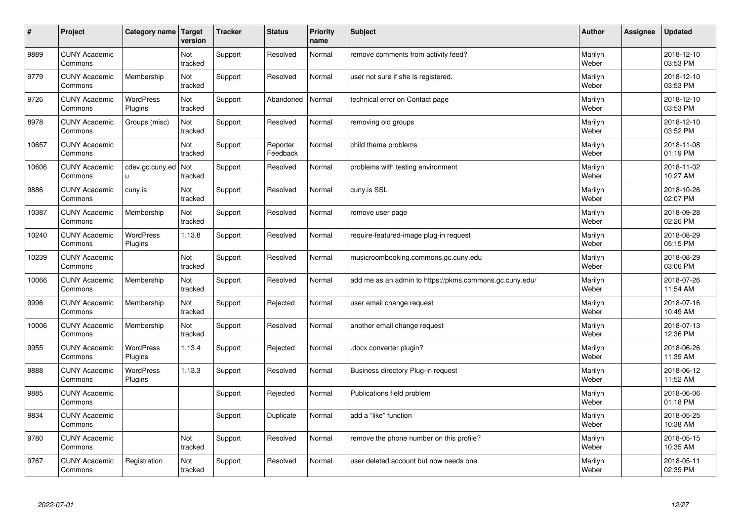| $\vert$ # | Project                         | Category name               | Target<br>version | <b>Tracker</b> | <b>Status</b>        | <b>Priority</b><br>name | <b>Subject</b>                                          | <b>Author</b>    | Assignee | <b>Updated</b>         |
|-----------|---------------------------------|-----------------------------|-------------------|----------------|----------------------|-------------------------|---------------------------------------------------------|------------------|----------|------------------------|
| 9889      | <b>CUNY Academic</b><br>Commons |                             | Not<br>tracked    | Support        | Resolved             | Normal                  | remove comments from activity feed?                     | Marilyn<br>Weber |          | 2018-12-10<br>03:53 PM |
| 9779      | <b>CUNY Academic</b><br>Commons | Membership                  | Not<br>tracked    | Support        | Resolved             | Normal                  | user not sure if she is registered.                     | Marilyn<br>Weber |          | 2018-12-10<br>03:53 PM |
| 9726      | <b>CUNY Academic</b><br>Commons | <b>WordPress</b><br>Plugins | Not<br>tracked    | Support        | Abandoned            | Normal                  | technical error on Contact page                         | Marilyn<br>Weber |          | 2018-12-10<br>03:53 PM |
| 8978      | <b>CUNY Academic</b><br>Commons | Groups (misc)               | Not<br>tracked    | Support        | Resolved             | Normal                  | removing old groups                                     | Marilyn<br>Weber |          | 2018-12-10<br>03:52 PM |
| 10657     | <b>CUNY Academic</b><br>Commons |                             | Not<br>tracked    | Support        | Reporter<br>Feedback | Normal                  | child theme problems                                    | Marilyn<br>Weber |          | 2018-11-08<br>01:19 PM |
| 10606     | <b>CUNY Academic</b><br>Commons | cdev.gc.cuny.ed<br>u        | Not<br>tracked    | Support        | Resolved             | Normal                  | problems with testing environment                       | Marilyn<br>Weber |          | 2018-11-02<br>10:27 AM |
| 9886      | <b>CUNY Academic</b><br>Commons | cuny.is                     | Not<br>tracked    | Support        | Resolved             | Normal                  | cuny.is SSL                                             | Marilyn<br>Weber |          | 2018-10-26<br>02:07 PM |
| 10387     | <b>CUNY Academic</b><br>Commons | Membership                  | Not<br>tracked    | Support        | Resolved             | Normal                  | remove user page                                        | Marilyn<br>Weber |          | 2018-09-28<br>02:26 PM |
| 10240     | <b>CUNY Academic</b><br>Commons | <b>WordPress</b><br>Plugins | 1.13.8            | Support        | Resolved             | Normal                  | require-featured-image plug-in request                  | Marilyn<br>Weber |          | 2018-08-29<br>05:15 PM |
| 10239     | <b>CUNY Academic</b><br>Commons |                             | Not<br>tracked    | Support        | Resolved             | Normal                  | musicroombooking.commons.gc.cuny.edu                    | Marilyn<br>Weber |          | 2018-08-29<br>03:06 PM |
| 10066     | <b>CUNY Academic</b><br>Commons | Membership                  | Not<br>tracked    | Support        | Resolved             | Normal                  | add me as an admin to https://pkms.commons.gc.cuny.edu/ | Marilyn<br>Weber |          | 2018-07-26<br>11:54 AM |
| 9996      | <b>CUNY Academic</b><br>Commons | Membership                  | Not<br>tracked    | Support        | Rejected             | Normal                  | user email change request                               | Marilyn<br>Weber |          | 2018-07-16<br>10:49 AM |
| 10006     | <b>CUNY Academic</b><br>Commons | Membership                  | Not<br>tracked    | Support        | Resolved             | Normal                  | another email change request                            | Marilyn<br>Weber |          | 2018-07-13<br>12:36 PM |
| 9955      | <b>CUNY Academic</b><br>Commons | WordPress<br>Plugins        | 1.13.4            | Support        | Rejected             | Normal                  | docx converter plugin?                                  | Marilyn<br>Weber |          | 2018-06-26<br>11:39 AM |
| 9888      | <b>CUNY Academic</b><br>Commons | <b>WordPress</b><br>Plugins | 1.13.3            | Support        | Resolved             | Normal                  | Business directory Plug-in request                      | Marilyn<br>Weber |          | 2018-06-12<br>11:52 AM |
| 9885      | <b>CUNY Academic</b><br>Commons |                             |                   | Support        | Rejected             | Normal                  | Publications field problem                              | Marilyn<br>Weber |          | 2018-06-06<br>01:18 PM |
| 9834      | <b>CUNY Academic</b><br>Commons |                             |                   | Support        | Duplicate            | Normal                  | add a "like" function                                   | Marilyn<br>Weber |          | 2018-05-25<br>10:38 AM |
| 9780      | <b>CUNY Academic</b><br>Commons |                             | Not<br>tracked    | Support        | Resolved             | Normal                  | remove the phone number on this profile?                | Marilyn<br>Weber |          | 2018-05-15<br>10:35 AM |
| 9767      | <b>CUNY Academic</b><br>Commons | Registration                | Not<br>tracked    | Support        | Resolved             | Normal                  | user deleted account but now needs one                  | Marilyn<br>Weber |          | 2018-05-11<br>02:39 PM |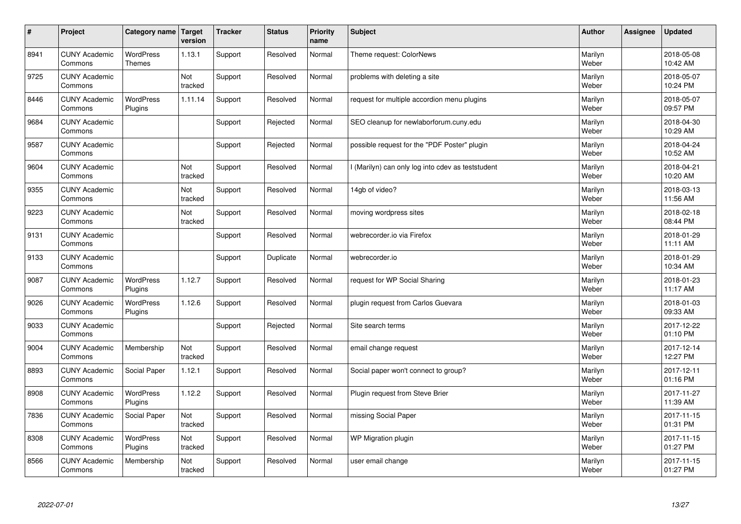| $\sharp$ | Project                         | Category name   Target            | version        | <b>Tracker</b> | <b>Status</b> | <b>Priority</b><br>name | <b>Subject</b>                                  | <b>Author</b>    | <b>Assignee</b> | <b>Updated</b>         |
|----------|---------------------------------|-----------------------------------|----------------|----------------|---------------|-------------------------|-------------------------------------------------|------------------|-----------------|------------------------|
| 8941     | <b>CUNY Academic</b><br>Commons | <b>WordPress</b><br><b>Themes</b> | 1.13.1         | Support        | Resolved      | Normal                  | Theme request: ColorNews                        | Marilyn<br>Weber |                 | 2018-05-08<br>10:42 AM |
| 9725     | <b>CUNY Academic</b><br>Commons |                                   | Not<br>tracked | Support        | Resolved      | Normal                  | problems with deleting a site                   | Marilyn<br>Weber |                 | 2018-05-07<br>10:24 PM |
| 8446     | <b>CUNY Academic</b><br>Commons | <b>WordPress</b><br>Plugins       | 1.11.14        | Support        | Resolved      | Normal                  | request for multiple accordion menu plugins     | Marilyn<br>Weber |                 | 2018-05-07<br>09:57 PM |
| 9684     | <b>CUNY Academic</b><br>Commons |                                   |                | Support        | Rejected      | Normal                  | SEO cleanup for newlaborforum.cuny.edu          | Marilyn<br>Weber |                 | 2018-04-30<br>10:29 AM |
| 9587     | <b>CUNY Academic</b><br>Commons |                                   |                | Support        | Rejected      | Normal                  | possible request for the "PDF Poster" plugin    | Marilyn<br>Weber |                 | 2018-04-24<br>10:52 AM |
| 9604     | <b>CUNY Academic</b><br>Commons |                                   | Not<br>tracked | Support        | Resolved      | Normal                  | (Marilyn) can only log into cdev as teststudent | Marilyn<br>Weber |                 | 2018-04-21<br>10:20 AM |
| 9355     | <b>CUNY Academic</b><br>Commons |                                   | Not<br>tracked | Support        | Resolved      | Normal                  | 14gb of video?                                  | Marilyn<br>Weber |                 | 2018-03-13<br>11:56 AM |
| 9223     | <b>CUNY Academic</b><br>Commons |                                   | Not<br>tracked | Support        | Resolved      | Normal                  | moving wordpress sites                          | Marilyn<br>Weber |                 | 2018-02-18<br>08:44 PM |
| 9131     | <b>CUNY Academic</b><br>Commons |                                   |                | Support        | Resolved      | Normal                  | webrecorder.io via Firefox                      | Marilyn<br>Weber |                 | 2018-01-29<br>11:11 AM |
| 9133     | <b>CUNY Academic</b><br>Commons |                                   |                | Support        | Duplicate     | Normal                  | webrecorder.io                                  | Marilyn<br>Weber |                 | 2018-01-29<br>10:34 AM |
| 9087     | <b>CUNY Academic</b><br>Commons | <b>WordPress</b><br>Plugins       | 1.12.7         | Support        | Resolved      | Normal                  | request for WP Social Sharing                   | Marilyn<br>Weber |                 | 2018-01-23<br>11:17 AM |
| 9026     | <b>CUNY Academic</b><br>Commons | <b>WordPress</b><br>Plugins       | 1.12.6         | Support        | Resolved      | Normal                  | plugin request from Carlos Guevara              | Marilyn<br>Weber |                 | 2018-01-03<br>09:33 AM |
| 9033     | <b>CUNY Academic</b><br>Commons |                                   |                | Support        | Rejected      | Normal                  | Site search terms                               | Marilyn<br>Weber |                 | 2017-12-22<br>01:10 PM |
| 9004     | <b>CUNY Academic</b><br>Commons | Membership                        | Not<br>tracked | Support        | Resolved      | Normal                  | email change request                            | Marilyn<br>Weber |                 | 2017-12-14<br>12:27 PM |
| 8893     | <b>CUNY Academic</b><br>Commons | Social Paper                      | 1.12.1         | Support        | Resolved      | Normal                  | Social paper won't connect to group?            | Marilyn<br>Weber |                 | 2017-12-11<br>01:16 PM |
| 8908     | <b>CUNY Academic</b><br>Commons | WordPress<br>Plugins              | 1.12.2         | Support        | Resolved      | Normal                  | Plugin request from Steve Brier                 | Marilyn<br>Weber |                 | 2017-11-27<br>11:39 AM |
| 7836     | <b>CUNY Academic</b><br>Commons | Social Paper                      | Not<br>tracked | Support        | Resolved      | Normal                  | missing Social Paper                            | Marilyn<br>Weber |                 | 2017-11-15<br>01:31 PM |
| 8308     | <b>CUNY Academic</b><br>Commons | WordPress<br>Plugins              | Not<br>tracked | Support        | Resolved      | Normal                  | WP Migration plugin                             | Marilyn<br>Weber |                 | 2017-11-15<br>01:27 PM |
| 8566     | <b>CUNY Academic</b><br>Commons | Membership                        | Not<br>tracked | Support        | Resolved      | Normal                  | user email change                               | Marilyn<br>Weber |                 | 2017-11-15<br>01:27 PM |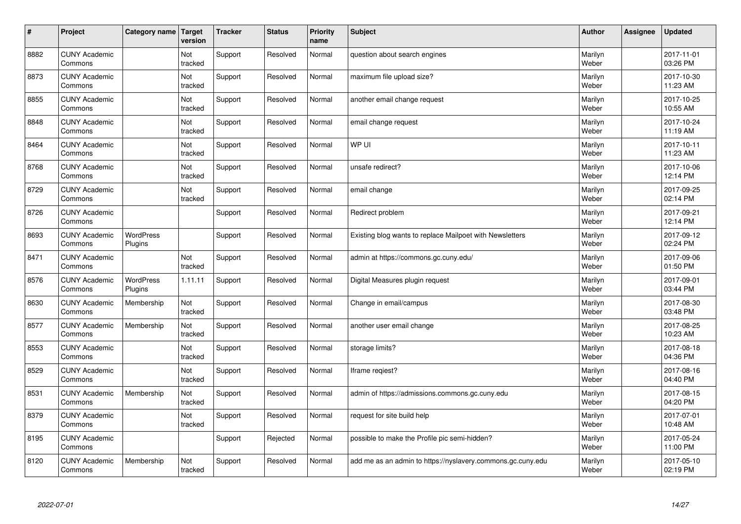| $\sharp$ | Project                         | Category name               | Target<br>version | <b>Tracker</b> | <b>Status</b> | <b>Priority</b><br>name | <b>Subject</b>                                              | <b>Author</b>    | <b>Assignee</b> | <b>Updated</b>         |
|----------|---------------------------------|-----------------------------|-------------------|----------------|---------------|-------------------------|-------------------------------------------------------------|------------------|-----------------|------------------------|
| 8882     | <b>CUNY Academic</b><br>Commons |                             | Not<br>tracked    | Support        | Resolved      | Normal                  | question about search engines                               | Marilyn<br>Weber |                 | 2017-11-01<br>03:26 PM |
| 8873     | <b>CUNY Academic</b><br>Commons |                             | Not<br>tracked    | Support        | Resolved      | Normal                  | maximum file upload size?                                   | Marilyn<br>Weber |                 | 2017-10-30<br>11:23 AM |
| 8855     | <b>CUNY Academic</b><br>Commons |                             | Not<br>tracked    | Support        | Resolved      | Normal                  | another email change request                                | Marilyn<br>Weber |                 | 2017-10-25<br>10:55 AM |
| 8848     | <b>CUNY Academic</b><br>Commons |                             | Not<br>tracked    | Support        | Resolved      | Normal                  | email change request                                        | Marilyn<br>Weber |                 | 2017-10-24<br>11:19 AM |
| 8464     | <b>CUNY Academic</b><br>Commons |                             | Not<br>tracked    | Support        | Resolved      | Normal                  | WP UI                                                       | Marilyn<br>Weber |                 | 2017-10-11<br>11:23 AM |
| 8768     | <b>CUNY Academic</b><br>Commons |                             | Not<br>tracked    | Support        | Resolved      | Normal                  | unsafe redirect?                                            | Marilyn<br>Weber |                 | 2017-10-06<br>12:14 PM |
| 8729     | <b>CUNY Academic</b><br>Commons |                             | Not<br>tracked    | Support        | Resolved      | Normal                  | email change                                                | Marilyn<br>Weber |                 | 2017-09-25<br>02:14 PM |
| 8726     | <b>CUNY Academic</b><br>Commons |                             |                   | Support        | Resolved      | Normal                  | Redirect problem                                            | Marilyn<br>Weber |                 | 2017-09-21<br>12:14 PM |
| 8693     | <b>CUNY Academic</b><br>Commons | <b>WordPress</b><br>Plugins |                   | Support        | Resolved      | Normal                  | Existing blog wants to replace Mailpoet with Newsletters    | Marilyn<br>Weber |                 | 2017-09-12<br>02:24 PM |
| 8471     | <b>CUNY Academic</b><br>Commons |                             | Not<br>tracked    | Support        | Resolved      | Normal                  | admin at https://commons.gc.cuny.edu/                       | Marilyn<br>Weber |                 | 2017-09-06<br>01:50 PM |
| 8576     | <b>CUNY Academic</b><br>Commons | <b>WordPress</b><br>Plugins | 1.11.11           | Support        | Resolved      | Normal                  | Digital Measures plugin request                             | Marilyn<br>Weber |                 | 2017-09-01<br>03:44 PM |
| 8630     | <b>CUNY Academic</b><br>Commons | Membership                  | Not<br>tracked    | Support        | Resolved      | Normal                  | Change in email/campus                                      | Marilyn<br>Weber |                 | 2017-08-30<br>03:48 PM |
| 8577     | <b>CUNY Academic</b><br>Commons | Membership                  | Not<br>tracked    | Support        | Resolved      | Normal                  | another user email change                                   | Marilyn<br>Weber |                 | 2017-08-25<br>10:23 AM |
| 8553     | <b>CUNY Academic</b><br>Commons |                             | Not<br>tracked    | Support        | Resolved      | Normal                  | storage limits?                                             | Marilyn<br>Weber |                 | 2017-08-18<br>04:36 PM |
| 8529     | <b>CUNY Academic</b><br>Commons |                             | Not<br>tracked    | Support        | Resolved      | Normal                  | Iframe regiest?                                             | Marilyn<br>Weber |                 | 2017-08-16<br>04:40 PM |
| 8531     | <b>CUNY Academic</b><br>Commons | Membership                  | Not<br>tracked    | Support        | Resolved      | Normal                  | admin of https://admissions.commons.gc.cuny.edu             | Marilyn<br>Weber |                 | 2017-08-15<br>04:20 PM |
| 8379     | <b>CUNY Academic</b><br>Commons |                             | Not<br>tracked    | Support        | Resolved      | Normal                  | request for site build help                                 | Marilyn<br>Weber |                 | 2017-07-01<br>10:48 AM |
| 8195     | <b>CUNY Academic</b><br>Commons |                             |                   | Support        | Rejected      | Normal                  | possible to make the Profile pic semi-hidden?               | Marilyn<br>Weber |                 | 2017-05-24<br>11:00 PM |
| 8120     | <b>CUNY Academic</b><br>Commons | Membership                  | Not<br>tracked    | Support        | Resolved      | Normal                  | add me as an admin to https://nyslavery.commons.gc.cuny.edu | Marilyn<br>Weber |                 | 2017-05-10<br>02:19 PM |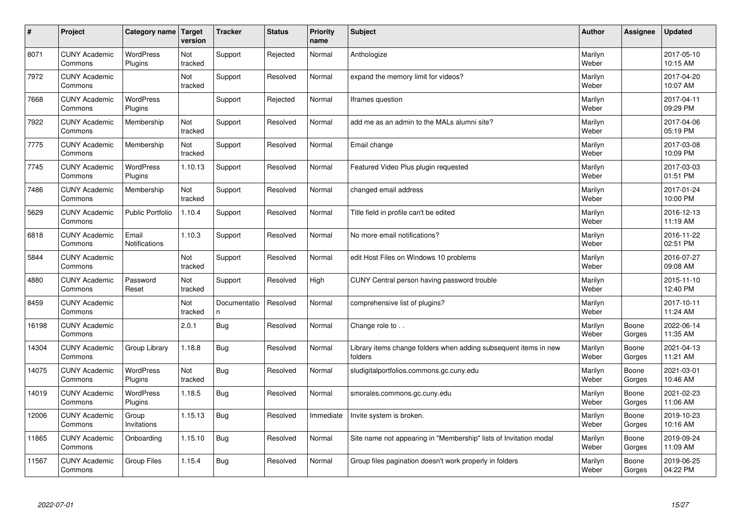| #     | Project                         | Category name                 | Target<br>version | <b>Tracker</b>     | <b>Status</b> | <b>Priority</b><br>name | <b>Subject</b>                                                              | <b>Author</b>    | Assignee        | <b>Updated</b>         |
|-------|---------------------------------|-------------------------------|-------------------|--------------------|---------------|-------------------------|-----------------------------------------------------------------------------|------------------|-----------------|------------------------|
| 8071  | <b>CUNY Academic</b><br>Commons | WordPress<br>Plugins          | Not<br>tracked    | Support            | Rejected      | Normal                  | Anthologize                                                                 | Marilyn<br>Weber |                 | 2017-05-10<br>10:15 AM |
| 7972  | <b>CUNY Academic</b><br>Commons |                               | Not<br>tracked    | Support            | Resolved      | Normal                  | expand the memory limit for videos?                                         | Marilyn<br>Weber |                 | 2017-04-20<br>10:07 AM |
| 7668  | <b>CUNY Academic</b><br>Commons | <b>WordPress</b><br>Plugins   |                   | Support            | Rejected      | Normal                  | Iframes question                                                            | Marilyn<br>Weber |                 | 2017-04-11<br>09:29 PM |
| 7922  | <b>CUNY Academic</b><br>Commons | Membership                    | Not<br>tracked    | Support            | Resolved      | Normal                  | add me as an admin to the MALs alumni site?                                 | Marilyn<br>Weber |                 | 2017-04-06<br>05:19 PM |
| 7775  | <b>CUNY Academic</b><br>Commons | Membership                    | Not<br>tracked    | Support            | Resolved      | Normal                  | Email change                                                                | Marilyn<br>Weber |                 | 2017-03-08<br>10:09 PM |
| 7745  | <b>CUNY Academic</b><br>Commons | <b>WordPress</b><br>Plugins   | 1.10.13           | Support            | Resolved      | Normal                  | Featured Video Plus plugin requested                                        | Marilyn<br>Weber |                 | 2017-03-03<br>01:51 PM |
| 7486  | <b>CUNY Academic</b><br>Commons | Membership                    | Not<br>tracked    | Support            | Resolved      | Normal                  | changed email address                                                       | Marilyn<br>Weber |                 | 2017-01-24<br>10:00 PM |
| 5629  | <b>CUNY Academic</b><br>Commons | <b>Public Portfolio</b>       | 1.10.4            | Support            | Resolved      | Normal                  | Title field in profile can't be edited                                      | Marilyn<br>Weber |                 | 2016-12-13<br>11:19 AM |
| 6818  | <b>CUNY Academic</b><br>Commons | Email<br><b>Notifications</b> | 1.10.3            | Support            | Resolved      | Normal                  | No more email notifications?                                                | Marilyn<br>Weber |                 | 2016-11-22<br>02:51 PM |
| 5844  | <b>CUNY Academic</b><br>Commons |                               | Not<br>tracked    | Support            | Resolved      | Normal                  | edit Host Files on Windows 10 problems                                      | Marilyn<br>Weber |                 | 2016-07-27<br>09:08 AM |
| 4880  | <b>CUNY Academic</b><br>Commons | Password<br>Reset             | Not<br>tracked    | Support            | Resolved      | High                    | CUNY Central person having password trouble                                 | Marilyn<br>Weber |                 | 2015-11-10<br>12:40 PM |
| 8459  | <b>CUNY Academic</b><br>Commons |                               | Not<br>tracked    | Documentatio<br>n. | Resolved      | Normal                  | comprehensive list of plugins?                                              | Marilyn<br>Weber |                 | 2017-10-11<br>11:24 AM |
| 16198 | <b>CUNY Academic</b><br>Commons |                               | 2.0.1             | Bug                | Resolved      | Normal                  | Change role to                                                              | Marilyn<br>Weber | Boone<br>Gorges | 2022-06-14<br>11:35 AM |
| 14304 | <b>CUNY Academic</b><br>Commons | Group Library                 | 1.18.8            | Bug                | Resolved      | Normal                  | Library items change folders when adding subsequent items in new<br>folders | Marilyn<br>Weber | Boone<br>Gorges | 2021-04-13<br>11:21 AM |
| 14075 | <b>CUNY Academic</b><br>Commons | WordPress<br>Plugins          | Not<br>tracked    | Bug                | Resolved      | Normal                  | sludigitalportfolios.commons.gc.cuny.edu                                    | Marilyn<br>Weber | Boone<br>Gorges | 2021-03-01<br>10:46 AM |
| 14019 | <b>CUNY Academic</b><br>Commons | <b>WordPress</b><br>Plugins   | 1.18.5            | Bug                | Resolved      | Normal                  | smorales.commons.gc.cuny.edu                                                | Marilyn<br>Weber | Boone<br>Gorges | 2021-02-23<br>11:06 AM |
| 12006 | <b>CUNY Academic</b><br>Commons | Group<br>Invitations          | 1.15.13           | Bug                | Resolved      | Immediate               | Invite system is broken.                                                    | Marilyn<br>Weber | Boone<br>Gorges | 2019-10-23<br>10:16 AM |
| 11865 | <b>CUNY Academic</b><br>Commons | Onboarding                    | 1.15.10           | Bug                | Resolved      | Normal                  | Site name not appearing in "Membership" lists of Invitation modal           | Marilyn<br>Weber | Boone<br>Gorges | 2019-09-24<br>11:09 AM |
| 11567 | <b>CUNY Academic</b><br>Commons | Group Files                   | 1.15.4            | Bug                | Resolved      | Normal                  | Group files pagination doesn't work properly in folders                     | Marilyn<br>Weber | Boone<br>Gorges | 2019-06-25<br>04:22 PM |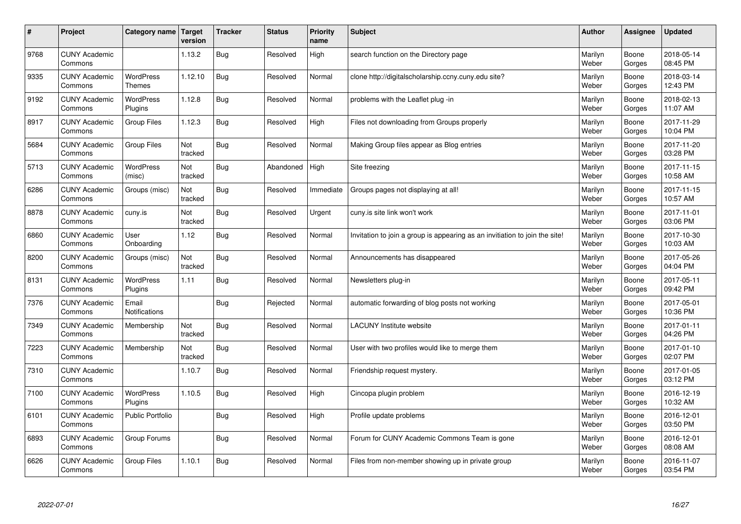| $\sharp$ | Project                         | Category name               | Target<br>version | <b>Tracker</b> | <b>Status</b> | <b>Priority</b><br>name | <b>Subject</b>                                                              | <b>Author</b>    | Assignee        | <b>Updated</b>         |
|----------|---------------------------------|-----------------------------|-------------------|----------------|---------------|-------------------------|-----------------------------------------------------------------------------|------------------|-----------------|------------------------|
| 9768     | <b>CUNY Academic</b><br>Commons |                             | 1.13.2            | Bug            | Resolved      | High                    | search function on the Directory page                                       | Marilyn<br>Weber | Boone<br>Gorges | 2018-05-14<br>08:45 PM |
| 9335     | <b>CUNY Academic</b><br>Commons | <b>WordPress</b><br>Themes  | 1.12.10           | Bug            | Resolved      | Normal                  | clone http://digitalscholarship.ccny.cuny.edu site?                         | Marilyn<br>Weber | Boone<br>Gorges | 2018-03-14<br>12:43 PM |
| 9192     | <b>CUNY Academic</b><br>Commons | <b>WordPress</b><br>Plugins | 1.12.8            | <b>Bug</b>     | Resolved      | Normal                  | problems with the Leaflet plug -in                                          | Marilyn<br>Weber | Boone<br>Gorges | 2018-02-13<br>11:07 AM |
| 8917     | <b>CUNY Academic</b><br>Commons | Group Files                 | 1.12.3            | <b>Bug</b>     | Resolved      | High                    | Files not downloading from Groups properly                                  | Marilyn<br>Weber | Boone<br>Gorges | 2017-11-29<br>10:04 PM |
| 5684     | <b>CUNY Academic</b><br>Commons | <b>Group Files</b>          | Not<br>tracked    | Bug            | Resolved      | Normal                  | Making Group files appear as Blog entries                                   | Marilyn<br>Weber | Boone<br>Gorges | 2017-11-20<br>03:28 PM |
| 5713     | <b>CUNY Academic</b><br>Commons | <b>WordPress</b><br>(misc)  | Not<br>tracked    | Bug            | Abandoned     | High                    | Site freezing                                                               | Marilyn<br>Weber | Boone<br>Gorges | 2017-11-15<br>10:58 AM |
| 6286     | <b>CUNY Academic</b><br>Commons | Groups (misc)               | Not<br>tracked    | Bug            | Resolved      | Immediate               | Groups pages not displaying at all!                                         | Marilyn<br>Weber | Boone<br>Gorges | 2017-11-15<br>10:57 AM |
| 8878     | <b>CUNY Academic</b><br>Commons | cuny.is                     | Not<br>tracked    | <b>Bug</b>     | Resolved      | Urgent                  | cuny is site link won't work                                                | Marilyn<br>Weber | Boone<br>Gorges | 2017-11-01<br>03:06 PM |
| 6860     | <b>CUNY Academic</b><br>Commons | User<br>Onboarding          | 1.12              | Bug            | Resolved      | Normal                  | Invitation to join a group is appearing as an invitiation to join the site! | Marilyn<br>Weber | Boone<br>Gorges | 2017-10-30<br>10:03 AM |
| 8200     | <b>CUNY Academic</b><br>Commons | Groups (misc)               | Not<br>tracked    | Bug            | Resolved      | Normal                  | Announcements has disappeared                                               | Marilyn<br>Weber | Boone<br>Gorges | 2017-05-26<br>04:04 PM |
| 8131     | <b>CUNY Academic</b><br>Commons | <b>WordPress</b><br>Plugins | 1.11              | Bug            | Resolved      | Normal                  | Newsletters plug-in                                                         | Marilyn<br>Weber | Boone<br>Gorges | 2017-05-11<br>09:42 PM |
| 7376     | <b>CUNY Academic</b><br>Commons | Email<br>Notifications      |                   | Bug            | Rejected      | Normal                  | automatic forwarding of blog posts not working                              | Marilyn<br>Weber | Boone<br>Gorges | 2017-05-01<br>10:36 PM |
| 7349     | <b>CUNY Academic</b><br>Commons | Membership                  | Not<br>tracked    | Bug            | Resolved      | Normal                  | <b>LACUNY</b> Institute website                                             | Marilyn<br>Weber | Boone<br>Gorges | 2017-01-11<br>04:26 PM |
| 7223     | <b>CUNY Academic</b><br>Commons | Membership                  | Not<br>tracked    | <b>Bug</b>     | Resolved      | Normal                  | User with two profiles would like to merge them                             | Marilyn<br>Weber | Boone<br>Gorges | 2017-01-10<br>02:07 PM |
| 7310     | <b>CUNY Academic</b><br>Commons |                             | 1.10.7            | Bug            | Resolved      | Normal                  | Friendship request mystery.                                                 | Marilyn<br>Weber | Boone<br>Gorges | 2017-01-05<br>03:12 PM |
| 7100     | <b>CUNY Academic</b><br>Commons | WordPress<br>Plugins        | 1.10.5            | Bug            | Resolved      | High                    | Cincopa plugin problem                                                      | Marilyn<br>Weber | Boone<br>Gorges | 2016-12-19<br>10:32 AM |
| 6101     | <b>CUNY Academic</b><br>Commons | <b>Public Portfolio</b>     |                   | Bug            | Resolved      | High                    | Profile update problems                                                     | Marilyn<br>Weber | Boone<br>Gorges | 2016-12-01<br>03:50 PM |
| 6893     | <b>CUNY Academic</b><br>Commons | Group Forums                |                   | Bug            | Resolved      | Normal                  | Forum for CUNY Academic Commons Team is gone                                | Marilyn<br>Weber | Boone<br>Gorges | 2016-12-01<br>08:08 AM |
| 6626     | <b>CUNY Academic</b><br>Commons | <b>Group Files</b>          | 1.10.1            | Bug            | Resolved      | Normal                  | Files from non-member showing up in private group                           | Marilyn<br>Weber | Boone<br>Gorges | 2016-11-07<br>03:54 PM |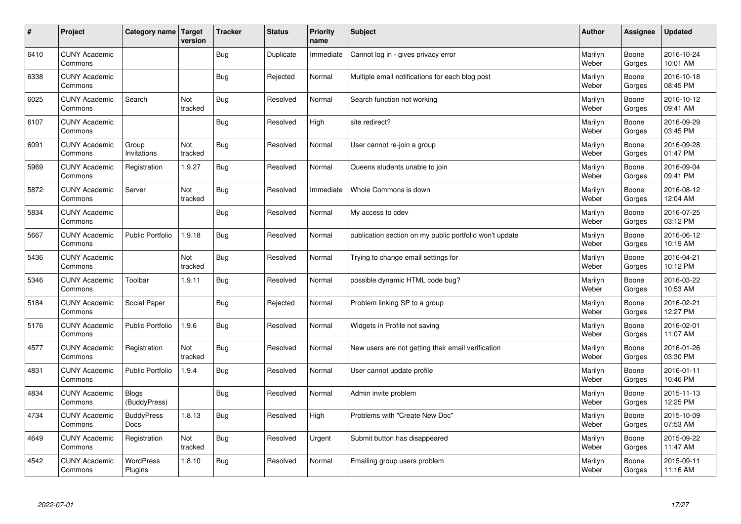| $\sharp$ | Project                         | Category name   Target           | version        | <b>Tracker</b> | <b>Status</b> | <b>Priority</b><br>name | <b>Subject</b>                                          | <b>Author</b>    | Assignee        | <b>Updated</b>         |
|----------|---------------------------------|----------------------------------|----------------|----------------|---------------|-------------------------|---------------------------------------------------------|------------------|-----------------|------------------------|
| 6410     | <b>CUNY Academic</b><br>Commons |                                  |                | Bug            | Duplicate     | Immediate               | Cannot log in - gives privacy error                     | Marilyn<br>Weber | Boone<br>Gorges | 2016-10-24<br>10:01 AM |
| 6338     | <b>CUNY Academic</b><br>Commons |                                  |                | Bug            | Rejected      | Normal                  | Multiple email notifications for each blog post         | Marilyn<br>Weber | Boone<br>Gorges | 2016-10-18<br>08:45 PM |
| 6025     | <b>CUNY Academic</b><br>Commons | Search                           | Not<br>tracked | <b>Bug</b>     | Resolved      | Normal                  | Search function not working                             | Marilyn<br>Weber | Boone<br>Gorges | 2016-10-12<br>09:41 AM |
| 6107     | <b>CUNY Academic</b><br>Commons |                                  |                | Bug            | Resolved      | High                    | site redirect?                                          | Marilyn<br>Weber | Boone<br>Gorges | 2016-09-29<br>03:45 PM |
| 6091     | <b>CUNY Academic</b><br>Commons | Group<br>Invitations             | Not<br>tracked | Bug            | Resolved      | Normal                  | User cannot re-join a group                             | Marilyn<br>Weber | Boone<br>Gorges | 2016-09-28<br>01:47 PM |
| 5969     | <b>CUNY Academic</b><br>Commons | Registration                     | 1.9.27         | <b>Bug</b>     | Resolved      | Normal                  | Queens students unable to join                          | Marilyn<br>Weber | Boone<br>Gorges | 2016-09-04<br>09:41 PM |
| 5872     | <b>CUNY Academic</b><br>Commons | Server                           | Not<br>tracked | Bug            | Resolved      | Immediate               | Whole Commons is down                                   | Marilyn<br>Weber | Boone<br>Gorges | 2016-08-12<br>12:04 AM |
| 5834     | <b>CUNY Academic</b><br>Commons |                                  |                | <b>Bug</b>     | Resolved      | Normal                  | My access to cdev                                       | Marilyn<br>Weber | Boone<br>Gorges | 2016-07-25<br>03:12 PM |
| 5667     | <b>CUNY Academic</b><br>Commons | <b>Public Portfolio</b>          | 1.9.18         | Bug            | Resolved      | Normal                  | publication section on my public portfolio won't update | Marilyn<br>Weber | Boone<br>Gorges | 2016-06-12<br>10:19 AM |
| 5436     | <b>CUNY Academic</b><br>Commons |                                  | Not<br>tracked | Bug            | Resolved      | Normal                  | Trying to change email settings for                     | Marilyn<br>Weber | Boone<br>Gorges | 2016-04-21<br>10:12 PM |
| 5346     | <b>CUNY Academic</b><br>Commons | Toolbar                          | 1.9.11         | Bug            | Resolved      | Normal                  | possible dynamic HTML code bug?                         | Marilyn<br>Weber | Boone<br>Gorges | 2016-03-22<br>10:53 AM |
| 5184     | <b>CUNY Academic</b><br>Commons | Social Paper                     |                | Bug            | Rejected      | Normal                  | Problem linking SP to a group                           | Marilyn<br>Weber | Boone<br>Gorges | 2016-02-21<br>12:27 PM |
| 5176     | <b>CUNY Academic</b><br>Commons | Public Portfolio                 | 1.9.6          | Bug            | Resolved      | Normal                  | Widgets in Profile not saving                           | Marilyn<br>Weber | Boone<br>Gorges | 2016-02-01<br>11:07 AM |
| 4577     | <b>CUNY Academic</b><br>Commons | Registration                     | Not<br>tracked | Bug            | Resolved      | Normal                  | New users are not getting their email verification      | Marilyn<br>Weber | Boone<br>Gorges | 2016-01-26<br>03:30 PM |
| 4831     | <b>CUNY Academic</b><br>Commons | <b>Public Portfolio</b>          | 1.9.4          | Bug            | Resolved      | Normal                  | User cannot update profile                              | Marilyn<br>Weber | Boone<br>Gorges | 2016-01-11<br>10:46 PM |
| 4834     | <b>CUNY Academic</b><br>Commons | <b>Blogs</b><br>(BuddyPress)     |                | Bug            | Resolved      | Normal                  | Admin invite problem                                    | Marilyn<br>Weber | Boone<br>Gorges | 2015-11-13<br>12:25 PM |
| 4734     | <b>CUNY Academic</b><br>Commons | <b>BuddyPress</b><br><b>Docs</b> | 1.8.13         | Bug            | Resolved      | High                    | Problems with "Create New Doc"                          | Marilyn<br>Weber | Boone<br>Gorges | 2015-10-09<br>07:53 AM |
| 4649     | <b>CUNY Academic</b><br>Commons | Registration                     | Not<br>tracked | <b>Bug</b>     | Resolved      | Urgent                  | Submit button has disappeared                           | Marilyn<br>Weber | Boone<br>Gorges | 2015-09-22<br>11:47 AM |
| 4542     | <b>CUNY Academic</b><br>Commons | <b>WordPress</b><br>Plugins      | 1.8.10         | <b>Bug</b>     | Resolved      | Normal                  | Emailing group users problem                            | Marilyn<br>Weber | Boone<br>Gorges | 2015-09-11<br>11:16 AM |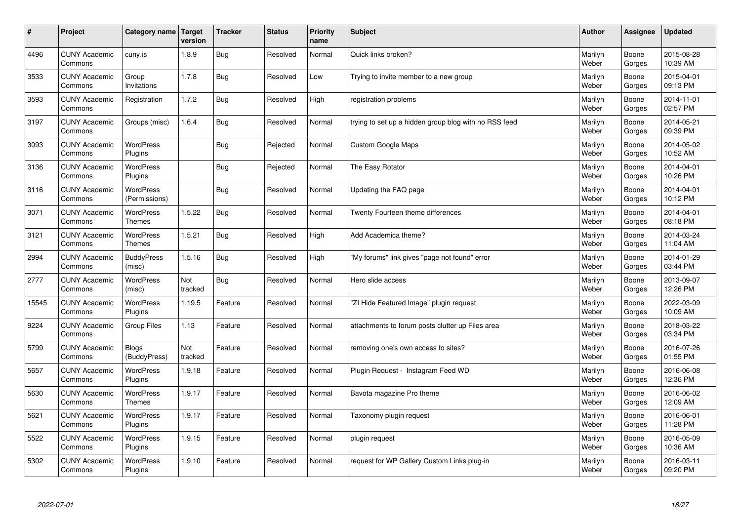| $\sharp$ | Project                         | Category name                     | <b>Target</b><br>version | <b>Tracker</b> | <b>Status</b> | <b>Priority</b><br>name | <b>Subject</b>                                        | <b>Author</b>    | Assignee        | <b>Updated</b>         |
|----------|---------------------------------|-----------------------------------|--------------------------|----------------|---------------|-------------------------|-------------------------------------------------------|------------------|-----------------|------------------------|
| 4496     | <b>CUNY Academic</b><br>Commons | cuny.is                           | 1.8.9                    | Bug            | Resolved      | Normal                  | Quick links broken?                                   | Marilyn<br>Weber | Boone<br>Gorges | 2015-08-28<br>10:39 AM |
| 3533     | <b>CUNY Academic</b><br>Commons | Group<br>Invitations              | 1.7.8                    | Bug            | Resolved      | Low                     | Trying to invite member to a new group                | Marilyn<br>Weber | Boone<br>Gorges | 2015-04-01<br>09:13 PM |
| 3593     | <b>CUNY Academic</b><br>Commons | Registration                      | 1.7.2                    | Bug            | Resolved      | High                    | registration problems                                 | Marilyn<br>Weber | Boone<br>Gorges | 2014-11-01<br>02:57 PM |
| 3197     | <b>CUNY Academic</b><br>Commons | Groups (misc)                     | 1.6.4                    | Bug            | Resolved      | Normal                  | trying to set up a hidden group blog with no RSS feed | Marilyn<br>Weber | Boone<br>Gorges | 2014-05-21<br>09:39 PM |
| 3093     | <b>CUNY Academic</b><br>Commons | <b>WordPress</b><br>Plugins       |                          | Bug            | Rejected      | Normal                  | <b>Custom Google Maps</b>                             | Marilyn<br>Weber | Boone<br>Gorges | 2014-05-02<br>10:52 AM |
| 3136     | <b>CUNY Academic</b><br>Commons | WordPress<br>Plugins              |                          | <b>Bug</b>     | Rejected      | Normal                  | The Easy Rotator                                      | Marilyn<br>Weber | Boone<br>Gorges | 2014-04-01<br>10:26 PM |
| 3116     | <b>CUNY Academic</b><br>Commons | <b>WordPress</b><br>(Permissions) |                          | Bug            | Resolved      | Normal                  | Updating the FAQ page                                 | Marilyn<br>Weber | Boone<br>Gorges | 2014-04-01<br>10:12 PM |
| 3071     | <b>CUNY Academic</b><br>Commons | <b>WordPress</b><br><b>Themes</b> | 1.5.22                   | Bug            | Resolved      | Normal                  | Twenty Fourteen theme differences                     | Marilyn<br>Weber | Boone<br>Gorges | 2014-04-01<br>08:18 PM |
| 3121     | <b>CUNY Academic</b><br>Commons | <b>WordPress</b><br><b>Themes</b> | 1.5.21                   | Bug            | Resolved      | High                    | Add Academica theme?                                  | Marilyn<br>Weber | Boone<br>Gorges | 2014-03-24<br>11:04 AM |
| 2994     | <b>CUNY Academic</b><br>Commons | <b>BuddyPress</b><br>(misc)       | 1.5.16                   | Bug            | Resolved      | High                    | 'My forums" link gives "page not found" error         | Marilyn<br>Weber | Boone<br>Gorges | 2014-01-29<br>03:44 PM |
| 2777     | <b>CUNY Academic</b><br>Commons | WordPress<br>(misc)               | Not<br>tracked           | Bug            | Resolved      | Normal                  | Hero slide access                                     | Marilyn<br>Weber | Boone<br>Gorges | 2013-09-07<br>12:26 PM |
| 15545    | <b>CUNY Academic</b><br>Commons | <b>WordPress</b><br>Plugins       | 1.19.5                   | Feature        | Resolved      | Normal                  | 'ZI Hide Featured Image" plugin request               | Marilyn<br>Weber | Boone<br>Gorges | 2022-03-09<br>10:09 AM |
| 9224     | <b>CUNY Academic</b><br>Commons | Group Files                       | 1.13                     | Feature        | Resolved      | Normal                  | attachments to forum posts clutter up Files area      | Marilyn<br>Weber | Boone<br>Gorges | 2018-03-22<br>03:34 PM |
| 5799     | <b>CUNY Academic</b><br>Commons | <b>Blogs</b><br>(BuddyPress)      | Not<br>tracked           | Feature        | Resolved      | Normal                  | removing one's own access to sites?                   | Marilyn<br>Weber | Boone<br>Gorges | 2016-07-26<br>01:55 PM |
| 5657     | <b>CUNY Academic</b><br>Commons | <b>WordPress</b><br>Plugins       | 1.9.18                   | Feature        | Resolved      | Normal                  | Plugin Request - Instagram Feed WD                    | Marilyn<br>Weber | Boone<br>Gorges | 2016-06-08<br>12:36 PM |
| 5630     | <b>CUNY Academic</b><br>Commons | <b>WordPress</b><br><b>Themes</b> | 1.9.17                   | Feature        | Resolved      | Normal                  | Bavota magazine Pro theme                             | Marilyn<br>Weber | Boone<br>Gorges | 2016-06-02<br>12:09 AM |
| 5621     | <b>CUNY Academic</b><br>Commons | WordPress<br>Plugins              | 1.9.17                   | Feature        | Resolved      | Normal                  | Taxonomy plugin request                               | Marilyn<br>Weber | Boone<br>Gorges | 2016-06-01<br>11:28 PM |
| 5522     | <b>CUNY Academic</b><br>Commons | WordPress<br>Plugins              | 1.9.15                   | Feature        | Resolved      | Normal                  | plugin request                                        | Marilyn<br>Weber | Boone<br>Gorges | 2016-05-09<br>10:36 AM |
| 5302     | <b>CUNY Academic</b><br>Commons | WordPress<br>Plugins              | 1.9.10                   | Feature        | Resolved      | Normal                  | request for WP Gallery Custom Links plug-in           | Marilyn<br>Weber | Boone<br>Gorges | 2016-03-11<br>09:20 PM |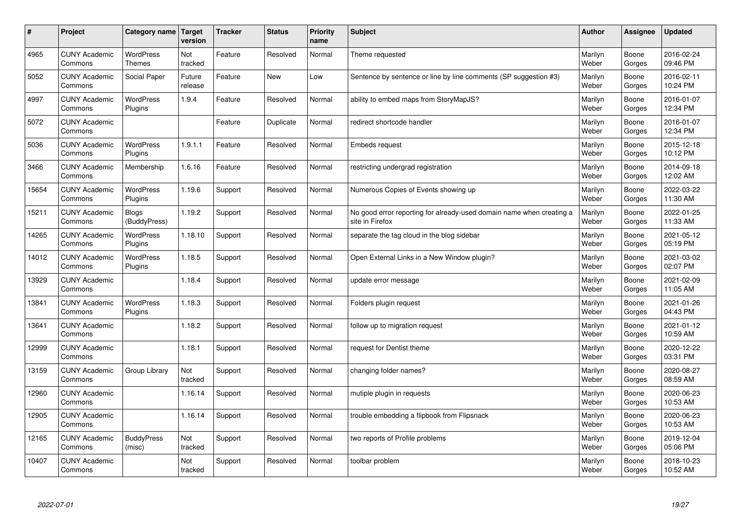| $\#$  | Project                         | Category name   Target            | version           | <b>Tracker</b> | <b>Status</b> | Priority<br>name | <b>Subject</b>                                                                          | <b>Author</b>    | <b>Assignee</b> | <b>Updated</b>         |
|-------|---------------------------------|-----------------------------------|-------------------|----------------|---------------|------------------|-----------------------------------------------------------------------------------------|------------------|-----------------|------------------------|
| 4965  | <b>CUNY Academic</b><br>Commons | <b>WordPress</b><br><b>Themes</b> | Not<br>tracked    | Feature        | Resolved      | Normal           | Theme requested                                                                         | Marilyn<br>Weber | Boone<br>Gorges | 2016-02-24<br>09:46 PM |
| 5052  | <b>CUNY Academic</b><br>Commons | Social Paper                      | Future<br>release | Feature        | New           | Low              | Sentence by sentence or line by line comments (SP suggestion #3)                        | Marilyn<br>Weber | Boone<br>Gorges | 2016-02-11<br>10:24 PM |
| 4997  | <b>CUNY Academic</b><br>Commons | <b>WordPress</b><br>Plugins       | 1.9.4             | Feature        | Resolved      | Normal           | ability to embed maps from StoryMapJS?                                                  | Marilyn<br>Weber | Boone<br>Gorges | 2016-01-07<br>12:34 PM |
| 5072  | <b>CUNY Academic</b><br>Commons |                                   |                   | Feature        | Duplicate     | Normal           | redirect shortcode handler                                                              | Marilyn<br>Weber | Boone<br>Gorges | 2016-01-07<br>12:34 PM |
| 5036  | <b>CUNY Academic</b><br>Commons | <b>WordPress</b><br>Plugins       | 1.9.1.1           | Feature        | Resolved      | Normal           | Embeds request                                                                          | Marilyn<br>Weber | Boone<br>Gorges | 2015-12-18<br>10:12 PM |
| 3466  | <b>CUNY Academic</b><br>Commons | Membership                        | 1.6.16            | Feature        | Resolved      | Normal           | restricting undergrad registration                                                      | Marilyn<br>Weber | Boone<br>Gorges | 2014-09-18<br>12:02 AM |
| 15654 | <b>CUNY Academic</b><br>Commons | <b>WordPress</b><br>Plugins       | 1.19.6            | Support        | Resolved      | Normal           | Numerous Copies of Events showing up                                                    | Marilyn<br>Weber | Boone<br>Gorges | 2022-03-22<br>11:30 AM |
| 15211 | <b>CUNY Academic</b><br>Commons | <b>Blogs</b><br>(BuddyPress)      | 1.19.2            | Support        | Resolved      | Normal           | No good error reporting for already-used domain name when creating a<br>site in Firefox | Marilyn<br>Weber | Boone<br>Gorges | 2022-01-25<br>11:33 AM |
| 14265 | <b>CUNY Academic</b><br>Commons | <b>WordPress</b><br>Plugins       | 1.18.10           | Support        | Resolved      | Normal           | separate the tag cloud in the blog sidebar                                              | Marilyn<br>Weber | Boone<br>Gorges | 2021-05-12<br>05:19 PM |
| 14012 | <b>CUNY Academic</b><br>Commons | <b>WordPress</b><br>Plugins       | 1.18.5            | Support        | Resolved      | Normal           | Open External Links in a New Window plugin?                                             | Marilyn<br>Weber | Boone<br>Gorges | 2021-03-02<br>02:07 PM |
| 13929 | <b>CUNY Academic</b><br>Commons |                                   | 1.18.4            | Support        | Resolved      | Normal           | update error message                                                                    | Marilyn<br>Weber | Boone<br>Gorges | 2021-02-09<br>11:05 AM |
| 13841 | <b>CUNY Academic</b><br>Commons | <b>WordPress</b><br>Plugins       | 1.18.3            | Support        | Resolved      | Normal           | Folders plugin request                                                                  | Marilyn<br>Weber | Boone<br>Gorges | 2021-01-26<br>04:43 PM |
| 13641 | <b>CUNY Academic</b><br>Commons |                                   | 1.18.2            | Support        | Resolved      | Normal           | follow up to migration request                                                          | Marilyn<br>Weber | Boone<br>Gorges | 2021-01-12<br>10:59 AM |
| 12999 | <b>CUNY Academic</b><br>Commons |                                   | 1.18.1            | Support        | Resolved      | Normal           | request for Dentist theme                                                               | Marilyn<br>Weber | Boone<br>Gorges | 2020-12-22<br>03:31 PM |
| 13159 | <b>CUNY Academic</b><br>Commons | Group Library                     | Not<br>tracked    | Support        | Resolved      | Normal           | changing folder names?                                                                  | Marilyn<br>Weber | Boone<br>Gorges | 2020-08-27<br>08:59 AM |
| 12960 | <b>CUNY Academic</b><br>Commons |                                   | 1.16.14           | Support        | Resolved      | Normal           | mutiple plugin in requests                                                              | Marilyn<br>Weber | Boone<br>Gorges | 2020-06-23<br>10:53 AM |
| 12905 | <b>CUNY Academic</b><br>Commons |                                   | 1.16.14           | Support        | Resolved      | Normal           | trouble embedding a flipbook from Flipsnack                                             | Marilyn<br>Weber | Boone<br>Gorges | 2020-06-23<br>10:53 AM |
| 12165 | <b>CUNY Academic</b><br>Commons | <b>BuddyPress</b><br>(misc)       | Not<br>tracked    | Support        | Resolved      | Normal           | two reports of Profile problems                                                         | Marilyn<br>Weber | Boone<br>Gorges | 2019-12-04<br>05:06 PM |
| 10407 | <b>CUNY Academic</b><br>Commons |                                   | Not<br>tracked    | Support        | Resolved      | Normal           | toolbar problem                                                                         | Marilyn<br>Weber | Boone<br>Gorges | 2018-10-23<br>10:52 AM |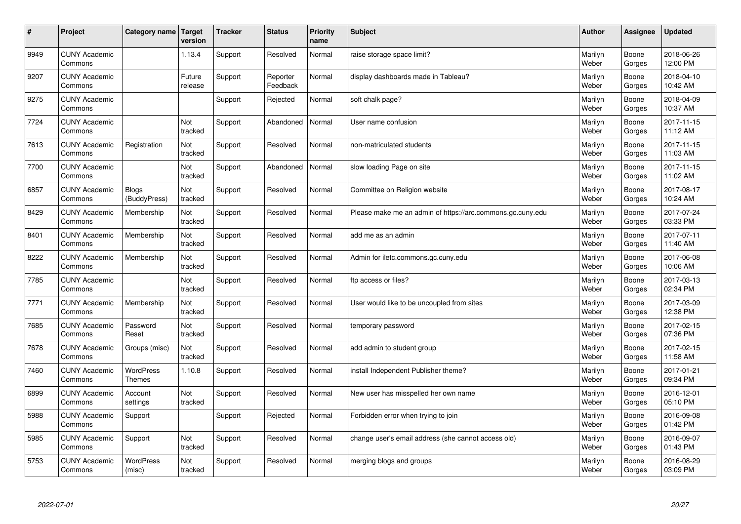| $\sharp$ | Project                         | Category name                     | <b>Target</b><br>version | <b>Tracker</b> | <b>Status</b>        | <b>Priority</b><br>name | <b>Subject</b>                                             | <b>Author</b>    | Assignee        | Updated                |
|----------|---------------------------------|-----------------------------------|--------------------------|----------------|----------------------|-------------------------|------------------------------------------------------------|------------------|-----------------|------------------------|
| 9949     | <b>CUNY Academic</b><br>Commons |                                   | 1.13.4                   | Support        | Resolved             | Normal                  | raise storage space limit?                                 | Marilyn<br>Weber | Boone<br>Gorges | 2018-06-26<br>12:00 PM |
| 9207     | <b>CUNY Academic</b><br>Commons |                                   | Future<br>release        | Support        | Reporter<br>Feedback | Normal                  | display dashboards made in Tableau?                        | Marilyn<br>Weber | Boone<br>Gorges | 2018-04-10<br>10:42 AM |
| 9275     | <b>CUNY Academic</b><br>Commons |                                   |                          | Support        | Rejected             | Normal                  | soft chalk page?                                           | Marilyn<br>Weber | Boone<br>Gorges | 2018-04-09<br>10:37 AM |
| 7724     | <b>CUNY Academic</b><br>Commons |                                   | Not<br>tracked           | Support        | Abandoned            | Normal                  | User name confusion                                        | Marilyn<br>Weber | Boone<br>Gorges | 2017-11-15<br>11:12 AM |
| 7613     | <b>CUNY Academic</b><br>Commons | Registration                      | Not<br>tracked           | Support        | Resolved             | Normal                  | non-matriculated students                                  | Marilyn<br>Weber | Boone<br>Gorges | 2017-11-15<br>11:03 AM |
| 7700     | <b>CUNY Academic</b><br>Commons |                                   | Not<br>tracked           | Support        | Abandoned            | Normal                  | slow loading Page on site                                  | Marilyn<br>Weber | Boone<br>Gorges | 2017-11-15<br>11:02 AM |
| 6857     | <b>CUNY Academic</b><br>Commons | <b>Blogs</b><br>(BuddyPress)      | Not<br>tracked           | Support        | Resolved             | Normal                  | Committee on Religion website                              | Marilyn<br>Weber | Boone<br>Gorges | 2017-08-17<br>10:24 AM |
| 8429     | <b>CUNY Academic</b><br>Commons | Membership                        | Not<br>tracked           | Support        | Resolved             | Normal                  | Please make me an admin of https://arc.commons.gc.cuny.edu | Marilyn<br>Weber | Boone<br>Gorges | 2017-07-24<br>03:33 PM |
| 8401     | <b>CUNY Academic</b><br>Commons | Membership                        | Not<br>tracked           | Support        | Resolved             | Normal                  | add me as an admin                                         | Marilyn<br>Weber | Boone<br>Gorges | 2017-07-11<br>11:40 AM |
| 8222     | <b>CUNY Academic</b><br>Commons | Membership                        | Not<br>tracked           | Support        | Resolved             | Normal                  | Admin for iletc.commons.gc.cuny.edu                        | Marilyn<br>Weber | Boone<br>Gorges | 2017-06-08<br>10:06 AM |
| 7785     | <b>CUNY Academic</b><br>Commons |                                   | Not<br>tracked           | Support        | Resolved             | Normal                  | ftp access or files?                                       | Marilyn<br>Weber | Boone<br>Gorges | 2017-03-13<br>02:34 PM |
| 7771     | <b>CUNY Academic</b><br>Commons | Membership                        | Not<br>tracked           | Support        | Resolved             | Normal                  | User would like to be uncoupled from sites                 | Marilyn<br>Weber | Boone<br>Gorges | 2017-03-09<br>12:38 PM |
| 7685     | <b>CUNY Academic</b><br>Commons | Password<br>Reset                 | Not<br>tracked           | Support        | Resolved             | Normal                  | temporary password                                         | Marilyn<br>Weber | Boone<br>Gorges | 2017-02-15<br>07:36 PM |
| 7678     | <b>CUNY Academic</b><br>Commons | Groups (misc)                     | Not<br>tracked           | Support        | Resolved             | Normal                  | add admin to student group                                 | Marilyn<br>Weber | Boone<br>Gorges | 2017-02-15<br>11:58 AM |
| 7460     | <b>CUNY Academic</b><br>Commons | <b>WordPress</b><br><b>Themes</b> | 1.10.8                   | Support        | Resolved             | Normal                  | install Independent Publisher theme?                       | Marilyn<br>Weber | Boone<br>Gorges | 2017-01-21<br>09:34 PM |
| 6899     | <b>CUNY Academic</b><br>Commons | Account<br>settings               | Not<br>tracked           | Support        | Resolved             | Normal                  | New user has misspelled her own name                       | Marilyn<br>Weber | Boone<br>Gorges | 2016-12-01<br>05:10 PM |
| 5988     | <b>CUNY Academic</b><br>Commons | Support                           |                          | Support        | Rejected             | Normal                  | Forbidden error when trying to join                        | Marilyn<br>Weber | Boone<br>Gorges | 2016-09-08<br>01:42 PM |
| 5985     | <b>CUNY Academic</b><br>Commons | Support                           | Not<br>tracked           | Support        | Resolved             | Normal                  | change user's email address (she cannot access old)        | Marilyn<br>Weber | Boone<br>Gorges | 2016-09-07<br>01:43 PM |
| 5753     | <b>CUNY Academic</b><br>Commons | <b>WordPress</b><br>(misc)        | Not<br>tracked           | Support        | Resolved             | Normal                  | merging blogs and groups                                   | Marilyn<br>Weber | Boone<br>Gorges | 2016-08-29<br>03:09 PM |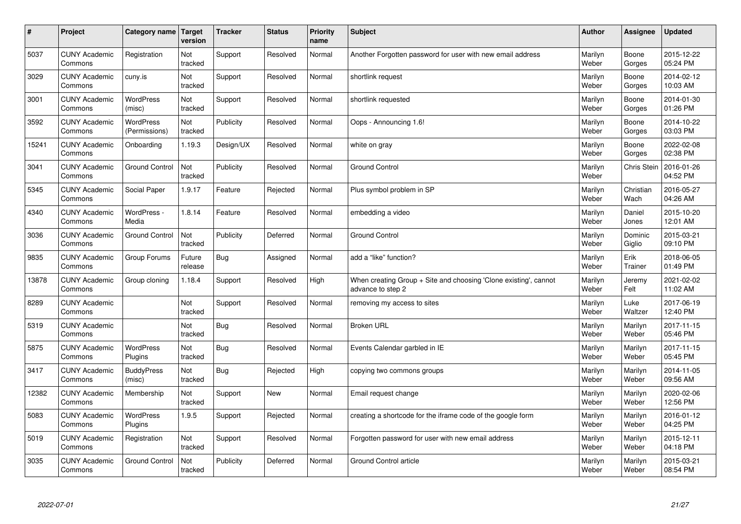| $\sharp$ | Project                         | Category name   Target            | version           | <b>Tracker</b> | <b>Status</b> | <b>Priority</b><br>name | <b>Subject</b>                                                                        | <b>Author</b>    | <b>Assignee</b>   | <b>Updated</b>         |
|----------|---------------------------------|-----------------------------------|-------------------|----------------|---------------|-------------------------|---------------------------------------------------------------------------------------|------------------|-------------------|------------------------|
| 5037     | <b>CUNY Academic</b><br>Commons | Registration                      | Not<br>tracked    | Support        | Resolved      | Normal                  | Another Forgotten password for user with new email address                            | Marilyn<br>Weber | Boone<br>Gorges   | 2015-12-22<br>05:24 PM |
| 3029     | <b>CUNY Academic</b><br>Commons | cuny.is                           | Not<br>tracked    | Support        | Resolved      | Normal                  | shortlink request                                                                     | Marilyn<br>Weber | Boone<br>Gorges   | 2014-02-12<br>10:03 AM |
| 3001     | <b>CUNY Academic</b><br>Commons | <b>WordPress</b><br>(misc)        | Not<br>tracked    | Support        | Resolved      | Normal                  | shortlink requested                                                                   | Marilyn<br>Weber | Boone<br>Gorges   | 2014-01-30<br>01:26 PM |
| 3592     | <b>CUNY Academic</b><br>Commons | <b>WordPress</b><br>(Permissions) | Not<br>tracked    | Publicity      | Resolved      | Normal                  | Oops - Announcing 1.6!                                                                | Marilyn<br>Weber | Boone<br>Gorges   | 2014-10-22<br>03:03 PM |
| 15241    | <b>CUNY Academic</b><br>Commons | Onboarding                        | 1.19.3            | Design/UX      | Resolved      | Normal                  | white on gray                                                                         | Marilyn<br>Weber | Boone<br>Gorges   | 2022-02-08<br>02:38 PM |
| 3041     | <b>CUNY Academic</b><br>Commons | <b>Ground Control</b>             | Not<br>tracked    | Publicity      | Resolved      | Normal                  | <b>Ground Control</b>                                                                 | Marilyn<br>Weber | Chris Stein       | 2016-01-26<br>04:52 PM |
| 5345     | <b>CUNY Academic</b><br>Commons | Social Paper                      | 1.9.17            | Feature        | Rejected      | Normal                  | Plus symbol problem in SP                                                             | Marilyn<br>Weber | Christian<br>Wach | 2016-05-27<br>04:26 AM |
| 4340     | <b>CUNY Academic</b><br>Commons | WordPress -<br>Media              | 1.8.14            | Feature        | Resolved      | Normal                  | embedding a video                                                                     | Marilyn<br>Weber | Daniel<br>Jones   | 2015-10-20<br>12:01 AM |
| 3036     | <b>CUNY Academic</b><br>Commons | <b>Ground Control</b>             | Not<br>tracked    | Publicity      | Deferred      | Normal                  | <b>Ground Control</b>                                                                 | Marilyn<br>Weber | Dominic<br>Giglio | 2015-03-21<br>09:10 PM |
| 9835     | <b>CUNY Academic</b><br>Commons | Group Forums                      | Future<br>release | Bug            | Assigned      | Normal                  | add a "like" function?                                                                | Marilyn<br>Weber | Erik<br>Trainer   | 2018-06-05<br>01:49 PM |
| 13878    | <b>CUNY Academic</b><br>Commons | Group cloning                     | 1.18.4            | Support        | Resolved      | High                    | When creating Group + Site and choosing 'Clone existing', cannot<br>advance to step 2 | Marilyn<br>Weber | Jeremy<br>Felt    | 2021-02-02<br>11:02 AM |
| 8289     | <b>CUNY Academic</b><br>Commons |                                   | Not<br>tracked    | Support        | Resolved      | Normal                  | removing my access to sites                                                           | Marilyn<br>Weber | Luke<br>Waltzer   | 2017-06-19<br>12:40 PM |
| 5319     | <b>CUNY Academic</b><br>Commons |                                   | Not<br>tracked    | Bug            | Resolved      | Normal                  | <b>Broken URL</b>                                                                     | Marilyn<br>Weber | Marilyn<br>Weber  | 2017-11-15<br>05:46 PM |
| 5875     | <b>CUNY Academic</b><br>Commons | WordPress<br>Plugins              | Not<br>tracked    | Bug            | Resolved      | Normal                  | Events Calendar garbled in IE                                                         | Marilyn<br>Weber | Marilyn<br>Weber  | 2017-11-15<br>05:45 PM |
| 3417     | <b>CUNY Academic</b><br>Commons | <b>BuddyPress</b><br>(misc)       | Not<br>tracked    | Bug            | Rejected      | High                    | copying two commons groups                                                            | Marilyn<br>Weber | Marilyn<br>Weber  | 2014-11-05<br>09:56 AM |
| 12382    | <b>CUNY Academic</b><br>Commons | Membership                        | Not<br>tracked    | Support        | <b>New</b>    | Normal                  | Email request change                                                                  | Marilyn<br>Weber | Marilyn<br>Weber  | 2020-02-06<br>12:56 PM |
| 5083     | <b>CUNY Academic</b><br>Commons | WordPress<br>Plugins              | 1.9.5             | Support        | Rejected      | Normal                  | creating a shortcode for the iframe code of the google form                           | Marilyn<br>Weber | Marilyn<br>Weber  | 2016-01-12<br>04:25 PM |
| 5019     | <b>CUNY Academic</b><br>Commons | Registration                      | Not<br>tracked    | Support        | Resolved      | Normal                  | Forgotten password for user with new email address                                    | Marilyn<br>Weber | Marilyn<br>Weber  | 2015-12-11<br>04:18 PM |
| 3035     | <b>CUNY Academic</b><br>Commons | <b>Ground Control</b>             | Not<br>tracked    | Publicity      | Deferred      | Normal                  | Ground Control article                                                                | Marilyn<br>Weber | Marilyn<br>Weber  | 2015-03-21<br>08:54 PM |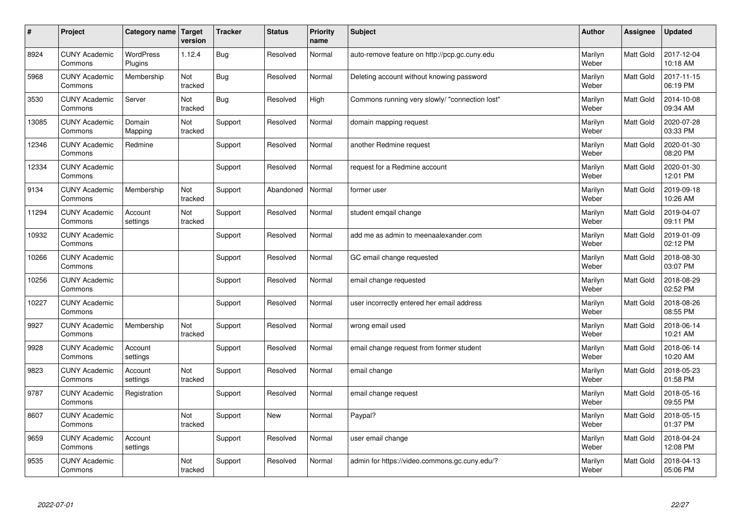| #     | Project                         | Category name               | <b>Target</b><br>version | <b>Tracker</b> | <b>Status</b> | <b>Priority</b><br>name | <b>Subject</b>                                 | <b>Author</b>    | Assignee         | <b>Updated</b>         |
|-------|---------------------------------|-----------------------------|--------------------------|----------------|---------------|-------------------------|------------------------------------------------|------------------|------------------|------------------------|
| 8924  | <b>CUNY Academic</b><br>Commons | <b>WordPress</b><br>Plugins | 1.12.4                   | Bug            | Resolved      | Normal                  | auto-remove feature on http://pcp.gc.cuny.edu  | Marilyn<br>Weber | <b>Matt Gold</b> | 2017-12-04<br>10:18 AM |
| 5968  | <b>CUNY Academic</b><br>Commons | Membership                  | Not<br>tracked           | <b>Bug</b>     | Resolved      | Normal                  | Deleting account without knowing password      | Marilyn<br>Weber | <b>Matt Gold</b> | 2017-11-15<br>06:19 PM |
| 3530  | <b>CUNY Academic</b><br>Commons | Server                      | Not<br>tracked           | <b>Bug</b>     | Resolved      | High                    | Commons running very slowly/ "connection lost" | Marilyn<br>Weber | <b>Matt Gold</b> | 2014-10-08<br>09:34 AM |
| 13085 | <b>CUNY Academic</b><br>Commons | Domain<br>Mapping           | Not<br>tracked           | Support        | Resolved      | Normal                  | domain mapping request                         | Marilyn<br>Weber | Matt Gold        | 2020-07-28<br>03:33 PM |
| 12346 | <b>CUNY Academic</b><br>Commons | Redmine                     |                          | Support        | Resolved      | Normal                  | another Redmine request                        | Marilyn<br>Weber | <b>Matt Gold</b> | 2020-01-30<br>08:20 PM |
| 12334 | <b>CUNY Academic</b><br>Commons |                             |                          | Support        | Resolved      | Normal                  | request for a Redmine account                  | Marilyn<br>Weber | <b>Matt Gold</b> | 2020-01-30<br>12:01 PM |
| 9134  | <b>CUNY Academic</b><br>Commons | Membership                  | Not<br>tracked           | Support        | Abandoned     | Normal                  | former user                                    | Marilyn<br>Weber | Matt Gold        | 2019-09-18<br>10:26 AM |
| 11294 | <b>CUNY Academic</b><br>Commons | Account<br>settings         | Not<br>tracked           | Support        | Resolved      | Normal                  | student emgail change                          | Marilyn<br>Weber | Matt Gold        | 2019-04-07<br>09:11 PM |
| 10932 | <b>CUNY Academic</b><br>Commons |                             |                          | Support        | Resolved      | Normal                  | add me as admin to meenaalexander.com          | Marilyn<br>Weber | Matt Gold        | 2019-01-09<br>02:12 PM |
| 10266 | <b>CUNY Academic</b><br>Commons |                             |                          | Support        | Resolved      | Normal                  | GC email change requested                      | Marilyn<br>Weber | Matt Gold        | 2018-08-30<br>03:07 PM |
| 10256 | <b>CUNY Academic</b><br>Commons |                             |                          | Support        | Resolved      | Normal                  | email change requested                         | Marilyn<br>Weber | Matt Gold        | 2018-08-29<br>02:52 PM |
| 10227 | <b>CUNY Academic</b><br>Commons |                             |                          | Support        | Resolved      | Normal                  | user incorrectly entered her email address     | Marilyn<br>Weber | Matt Gold        | 2018-08-26<br>08:55 PM |
| 9927  | <b>CUNY Academic</b><br>Commons | Membership                  | Not<br>tracked           | Support        | Resolved      | Normal                  | wrong email used                               | Marilyn<br>Weber | Matt Gold        | 2018-06-14<br>10:21 AM |
| 9928  | <b>CUNY Academic</b><br>Commons | Account<br>settings         |                          | Support        | Resolved      | Normal                  | email change request from former student       | Marilyn<br>Weber | Matt Gold        | 2018-06-14<br>10:20 AM |
| 9823  | <b>CUNY Academic</b><br>Commons | Account<br>settings         | Not<br>tracked           | Support        | Resolved      | Normal                  | email change                                   | Marilyn<br>Weber | Matt Gold        | 2018-05-23<br>01:58 PM |
| 9787  | <b>CUNY Academic</b><br>Commons | Registration                |                          | Support        | Resolved      | Normal                  | email change request                           | Marilyn<br>Weber | Matt Gold        | 2018-05-16<br>09:55 PM |
| 8607  | <b>CUNY Academic</b><br>Commons |                             | Not<br>tracked           | Support        | <b>New</b>    | Normal                  | Paypal?                                        | Marilyn<br>Weber | <b>Matt Gold</b> | 2018-05-15<br>01:37 PM |
| 9659  | <b>CUNY Academic</b><br>Commons | Account<br>settings         |                          | Support        | Resolved      | Normal                  | user email change                              | Marilyn<br>Weber | Matt Gold        | 2018-04-24<br>12:08 PM |
| 9535  | <b>CUNY Academic</b><br>Commons |                             | Not<br>tracked           | Support        | Resolved      | Normal                  | admin for https://video.commons.gc.cuny.edu/?  | Marilyn<br>Weber | Matt Gold        | 2018-04-13<br>05:06 PM |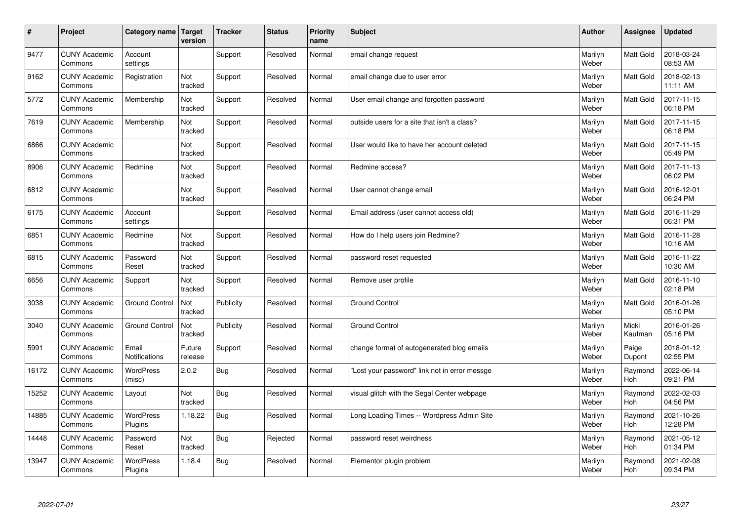| $\sharp$ | Project                         | Category name                 | Target<br>version | <b>Tracker</b> | <b>Status</b> | <b>Priority</b><br>name | <b>Subject</b>                                | <b>Author</b>    | Assignee         | <b>Updated</b>         |
|----------|---------------------------------|-------------------------------|-------------------|----------------|---------------|-------------------------|-----------------------------------------------|------------------|------------------|------------------------|
| 9477     | <b>CUNY Academic</b><br>Commons | Account<br>settings           |                   | Support        | Resolved      | Normal                  | email change request                          | Marilyn<br>Weber | <b>Matt Gold</b> | 2018-03-24<br>08:53 AM |
| 9162     | <b>CUNY Academic</b><br>Commons | Registration                  | Not<br>tracked    | Support        | Resolved      | Normal                  | email change due to user error                | Marilyn<br>Weber | <b>Matt Gold</b> | 2018-02-13<br>11:11 AM |
| 5772     | <b>CUNY Academic</b><br>Commons | Membership                    | Not<br>tracked    | Support        | Resolved      | Normal                  | User email change and forgotten password      | Marilyn<br>Weber | <b>Matt Gold</b> | 2017-11-15<br>06:18 PM |
| 7619     | <b>CUNY Academic</b><br>Commons | Membership                    | Not<br>tracked    | Support        | Resolved      | Normal                  | outside users for a site that isn't a class?  | Marilyn<br>Weber | Matt Gold        | 2017-11-15<br>06:18 PM |
| 6866     | <b>CUNY Academic</b><br>Commons |                               | Not<br>tracked    | Support        | Resolved      | Normal                  | User would like to have her account deleted   | Marilyn<br>Weber | <b>Matt Gold</b> | 2017-11-15<br>05:49 PM |
| 8906     | <b>CUNY Academic</b><br>Commons | Redmine                       | Not<br>tracked    | Support        | Resolved      | Normal                  | Redmine access?                               | Marilyn<br>Weber | <b>Matt Gold</b> | 2017-11-13<br>06:02 PM |
| 6812     | <b>CUNY Academic</b><br>Commons |                               | Not<br>tracked    | Support        | Resolved      | Normal                  | User cannot change email                      | Marilyn<br>Weber | <b>Matt Gold</b> | 2016-12-01<br>06:24 PM |
| 6175     | <b>CUNY Academic</b><br>Commons | Account<br>settings           |                   | Support        | Resolved      | Normal                  | Email address (user cannot access old)        | Marilyn<br>Weber | Matt Gold        | 2016-11-29<br>06:31 PM |
| 6851     | <b>CUNY Academic</b><br>Commons | Redmine                       | Not<br>tracked    | Support        | Resolved      | Normal                  | How do I help users join Redmine?             | Marilyn<br>Weber | Matt Gold        | 2016-11-28<br>10:16 AM |
| 6815     | <b>CUNY Academic</b><br>Commons | Password<br>Reset             | Not<br>tracked    | Support        | Resolved      | Normal                  | password reset requested                      | Marilyn<br>Weber | <b>Matt Gold</b> | 2016-11-22<br>10:30 AM |
| 6656     | <b>CUNY Academic</b><br>Commons | Support                       | Not<br>tracked    | Support        | Resolved      | Normal                  | Remove user profile                           | Marilyn<br>Weber | Matt Gold        | 2016-11-10<br>02:18 PM |
| 3038     | <b>CUNY Academic</b><br>Commons | <b>Ground Control</b>         | Not<br>tracked    | Publicity      | Resolved      | Normal                  | <b>Ground Control</b>                         | Marilyn<br>Weber | <b>Matt Gold</b> | 2016-01-26<br>05:10 PM |
| 3040     | <b>CUNY Academic</b><br>Commons | <b>Ground Control</b>         | Not<br>tracked    | Publicity      | Resolved      | Normal                  | <b>Ground Control</b>                         | Marilyn<br>Weber | Micki<br>Kaufman | 2016-01-26<br>05:16 PM |
| 5991     | <b>CUNY Academic</b><br>Commons | Email<br><b>Notifications</b> | Future<br>release | Support        | Resolved      | Normal                  | change format of autogenerated blog emails    | Marilyn<br>Weber | Paige<br>Dupont  | 2018-01-12<br>02:55 PM |
| 16172    | <b>CUNY Academic</b><br>Commons | <b>WordPress</b><br>(misc)    | 2.0.2             | Bug            | Resolved      | Normal                  | 'Lost your password" link not in error messge | Marilyn<br>Weber | Raymond<br>Hoh   | 2022-06-14<br>09:21 PM |
| 15252    | <b>CUNY Academic</b><br>Commons | Layout                        | Not<br>tracked    | <b>Bug</b>     | Resolved      | Normal                  | visual glitch with the Segal Center webpage   | Marilyn<br>Weber | Raymond<br>Hoh   | 2022-02-03<br>04:56 PM |
| 14885    | <b>CUNY Academic</b><br>Commons | <b>WordPress</b><br>Plugins   | 1.18.22           | <b>Bug</b>     | Resolved      | Normal                  | Long Loading Times -- Wordpress Admin Site    | Marilyn<br>Weber | Raymond<br>Hoh   | 2021-10-26<br>12:28 PM |
| 14448    | <b>CUNY Academic</b><br>Commons | Password<br>Reset             | Not<br>tracked    | Bug            | Rejected      | Normal                  | password reset weirdness                      | Marilyn<br>Weber | Raymond<br>Hoh   | 2021-05-12<br>01:34 PM |
| 13947    | <b>CUNY Academic</b><br>Commons | <b>WordPress</b><br>Plugins   | 1.18.4            | <b>Bug</b>     | Resolved      | Normal                  | Elementor plugin problem                      | Marilyn<br>Weber | Raymond<br>Hoh   | 2021-02-08<br>09:34 PM |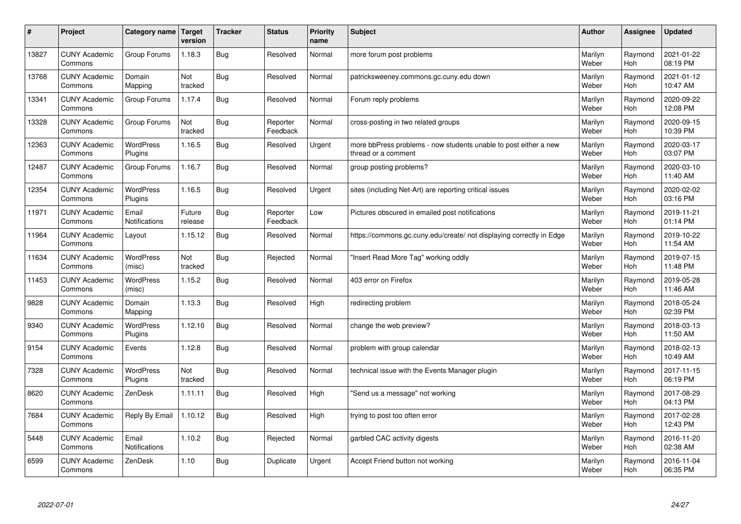| $\pmb{\#}$ | Project                         | Category name               | <b>Target</b><br>version | <b>Tracker</b> | <b>Status</b>        | <b>Priority</b><br>name | <b>Subject</b>                                                                          | <b>Author</b>    | Assignee              | <b>Updated</b>         |
|------------|---------------------------------|-----------------------------|--------------------------|----------------|----------------------|-------------------------|-----------------------------------------------------------------------------------------|------------------|-----------------------|------------------------|
| 13827      | <b>CUNY Academic</b><br>Commons | Group Forums                | 1.18.3                   | <b>Bug</b>     | Resolved             | Normal                  | more forum post problems                                                                | Marilyn<br>Weber | Raymond<br>Hoh        | 2021-01-22<br>08:19 PM |
| 13768      | <b>CUNY Academic</b><br>Commons | Domain<br>Mapping           | Not<br>tracked           | <b>Bug</b>     | Resolved             | Normal                  | patricksweeney.commons.gc.cuny.edu down                                                 | Marilyn<br>Weber | Raymond<br><b>Hoh</b> | 2021-01-12<br>10:47 AM |
| 13341      | <b>CUNY Academic</b><br>Commons | Group Forums                | 1.17.4                   | <b>Bug</b>     | Resolved             | Normal                  | Forum reply problems                                                                    | Marilyn<br>Weber | Raymond<br><b>Hoh</b> | 2020-09-22<br>12:08 PM |
| 13328      | <b>CUNY Academic</b><br>Commons | Group Forums                | Not<br>tracked           | Bug            | Reporter<br>Feedback | Normal                  | cross-posting in two related groups                                                     | Marilyn<br>Weber | Raymond<br><b>Hoh</b> | 2020-09-15<br>10:39 PM |
| 12363      | <b>CUNY Academic</b><br>Commons | <b>WordPress</b><br>Plugins | 1.16.5                   | <b>Bug</b>     | Resolved             | Urgent                  | more bbPress problems - now students unable to post either a new<br>thread or a comment | Marilyn<br>Weber | Raymond<br>Hoh        | 2020-03-17<br>03:07 PM |
| 12487      | <b>CUNY Academic</b><br>Commons | Group Forums                | 1.16.7                   | Bug            | Resolved             | Normal                  | group posting problems?                                                                 | Marilyn<br>Weber | Raymond<br>Hoh        | 2020-03-10<br>11:40 AM |
| 12354      | <b>CUNY Academic</b><br>Commons | WordPress<br>Plugins        | 1.16.5                   | Bug            | Resolved             | Urgent                  | sites (including Net-Art) are reporting critical issues                                 | Marilyn<br>Weber | Raymond<br><b>Hoh</b> | 2020-02-02<br>03:16 PM |
| 11971      | <b>CUNY Academic</b><br>Commons | Email<br>Notifications      | Future<br>release        | <b>Bug</b>     | Reporter<br>Feedback | Low                     | Pictures obscured in emailed post notifications                                         | Marilyn<br>Weber | Raymond<br><b>Hoh</b> | 2019-11-21<br>01:14 PM |
| 11964      | <b>CUNY Academic</b><br>Commons | Layout                      | 1.15.12                  | Bug            | Resolved             | Normal                  | https://commons.gc.cuny.edu/create/ not displaying correctly in Edge                    | Marilyn<br>Weber | Raymond<br>Hoh        | 2019-10-22<br>11:54 AM |
| 11634      | <b>CUNY Academic</b><br>Commons | <b>WordPress</b><br>(misc)  | Not<br>tracked           | Bug            | Rejected             | Normal                  | 'Insert Read More Tag" working oddly                                                    | Marilyn<br>Weber | Raymond<br>Hoh        | 2019-07-15<br>11:48 PM |
| 11453      | <b>CUNY Academic</b><br>Commons | <b>WordPress</b><br>(misc)  | 1.15.2                   | <b>Bug</b>     | Resolved             | Normal                  | 403 error on Firefox                                                                    | Marilyn<br>Weber | Raymond<br>Hoh        | 2019-05-28<br>11:46 AM |
| 9828       | <b>CUNY Academic</b><br>Commons | Domain<br>Mapping           | 1.13.3                   | Bug            | Resolved             | High                    | redirecting problem                                                                     | Marilyn<br>Weber | Raymond<br>Hoh        | 2018-05-24<br>02:39 PM |
| 9340       | <b>CUNY Academic</b><br>Commons | <b>WordPress</b><br>Plugins | 1.12.10                  | Bug            | Resolved             | Normal                  | change the web preview?                                                                 | Marilyn<br>Weber | Raymond<br>Hoh        | 2018-03-13<br>11:50 AM |
| 9154       | <b>CUNY Academic</b><br>Commons | Events                      | 1.12.8                   | Bug            | Resolved             | Normal                  | problem with group calendar                                                             | Marilyn<br>Weber | Raymond<br><b>Hoh</b> | 2018-02-13<br>10:49 AM |
| 7328       | <b>CUNY Academic</b><br>Commons | <b>WordPress</b><br>Plugins | Not<br>tracked           | <b>Bug</b>     | Resolved             | Normal                  | technical issue with the Events Manager plugin                                          | Marilyn<br>Weber | Raymond<br><b>Hoh</b> | 2017-11-15<br>06:19 PM |
| 8620       | <b>CUNY Academic</b><br>Commons | ZenDesk                     | 1.11.11                  | <b>Bug</b>     | Resolved             | High                    | 'Send us a message" not working                                                         | Marilyn<br>Weber | Raymond<br>Hoh        | 2017-08-29<br>04:13 PM |
| 7684       | <b>CUNY Academic</b><br>Commons | Reply By Email              | 1.10.12                  | <b>Bug</b>     | Resolved             | High                    | trying to post too often error                                                          | Marilyn<br>Weber | Raymond<br>Hoh        | 2017-02-28<br>12:43 PM |
| 5448       | <b>CUNY Academic</b><br>Commons | Email<br>Notifications      | 1.10.2                   | <b>Bug</b>     | Rejected             | Normal                  | garbled CAC activity digests                                                            | Marilyn<br>Weber | Raymond<br>Hoh        | 2016-11-20<br>02:38 AM |
| 6599       | <b>CUNY Academic</b><br>Commons | ZenDesk                     | 1.10                     | Bug            | Duplicate            | Urgent                  | Accept Friend button not working                                                        | Marilyn<br>Weber | Raymond<br>Hoh        | 2016-11-04<br>06:35 PM |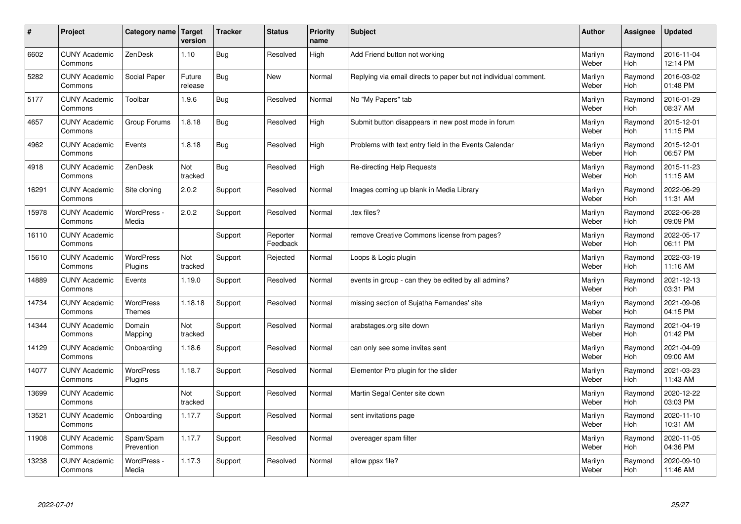| $\pmb{\#}$ | Project                         | Category name                     | <b>Target</b><br>version | <b>Tracker</b> | <b>Status</b>        | <b>Priority</b><br>name | <b>Subject</b>                                                  | <b>Author</b>    | Assignee              | <b>Updated</b>         |
|------------|---------------------------------|-----------------------------------|--------------------------|----------------|----------------------|-------------------------|-----------------------------------------------------------------|------------------|-----------------------|------------------------|
| 6602       | <b>CUNY Academic</b><br>Commons | ZenDesk                           | 1.10                     | <b>Bug</b>     | Resolved             | High                    | Add Friend button not working                                   | Marilyn<br>Weber | Raymond<br>Hoh        | 2016-11-04<br>12:14 PM |
| 5282       | <b>CUNY Academic</b><br>Commons | <b>Social Paper</b>               | Future<br>release        | <b>Bug</b>     | <b>New</b>           | Normal                  | Replying via email directs to paper but not individual comment. | Marilyn<br>Weber | Raymond<br>Hoh        | 2016-03-02<br>01:48 PM |
| 5177       | <b>CUNY Academic</b><br>Commons | Toolbar                           | 1.9.6                    | <b>Bug</b>     | Resolved             | Normal                  | No "My Papers" tab                                              | Marilyn<br>Weber | Raymond<br>Hoh        | 2016-01-29<br>08:37 AM |
| 4657       | <b>CUNY Academic</b><br>Commons | Group Forums                      | 1.8.18                   | <b>Bug</b>     | Resolved             | High                    | Submit button disappears in new post mode in forum              | Marilyn<br>Weber | Raymond<br>Hoh        | 2015-12-01<br>11:15 PM |
| 4962       | <b>CUNY Academic</b><br>Commons | Events                            | 1.8.18                   | <b>Bug</b>     | Resolved             | High                    | Problems with text entry field in the Events Calendar           | Marilyn<br>Weber | Raymond<br>Hoh        | 2015-12-01<br>06:57 PM |
| 4918       | <b>CUNY Academic</b><br>Commons | ZenDesk                           | Not<br>tracked           | <b>Bug</b>     | Resolved             | High                    | <b>Re-directing Help Requests</b>                               | Marilyn<br>Weber | Raymond<br>Hoh        | 2015-11-23<br>11:15 AM |
| 16291      | <b>CUNY Academic</b><br>Commons | Site cloning                      | 2.0.2                    | Support        | Resolved             | Normal                  | Images coming up blank in Media Library                         | Marilyn<br>Weber | Raymond<br><b>Hoh</b> | 2022-06-29<br>11:31 AM |
| 15978      | <b>CUNY Academic</b><br>Commons | WordPress -<br>Media              | 2.0.2                    | Support        | Resolved             | Normal                  | tex files?                                                      | Marilyn<br>Weber | Raymond<br>Hoh        | 2022-06-28<br>09:09 PM |
| 16110      | <b>CUNY Academic</b><br>Commons |                                   |                          | Support        | Reporter<br>Feedback | Normal                  | remove Creative Commons license from pages?                     | Marilyn<br>Weber | Raymond<br>Hoh        | 2022-05-17<br>06:11 PM |
| 15610      | <b>CUNY Academic</b><br>Commons | <b>WordPress</b><br>Plugins       | Not<br>tracked           | Support        | Rejected             | Normal                  | Loops & Logic plugin                                            | Marilyn<br>Weber | Raymond<br>Hoh        | 2022-03-19<br>11:16 AM |
| 14889      | <b>CUNY Academic</b><br>Commons | Events                            | 1.19.0                   | Support        | Resolved             | Normal                  | events in group - can they be edited by all admins?             | Marilyn<br>Weber | Raymond<br><b>Hoh</b> | 2021-12-13<br>03:31 PM |
| 14734      | <b>CUNY Academic</b><br>Commons | <b>WordPress</b><br><b>Themes</b> | 1.18.18                  | Support        | Resolved             | Normal                  | missing section of Sujatha Fernandes' site                      | Marilyn<br>Weber | Raymond<br><b>Hoh</b> | 2021-09-06<br>04:15 PM |
| 14344      | <b>CUNY Academic</b><br>Commons | Domain<br>Mapping                 | Not<br>tracked           | Support        | Resolved             | Normal                  | arabstages.org site down                                        | Marilyn<br>Weber | Raymond<br>Hoh        | 2021-04-19<br>01:42 PM |
| 14129      | <b>CUNY Academic</b><br>Commons | Onboarding                        | 1.18.6                   | Support        | Resolved             | Normal                  | can only see some invites sent                                  | Marilyn<br>Weber | Raymond<br>Hoh        | 2021-04-09<br>09:00 AM |
| 14077      | <b>CUNY Academic</b><br>Commons | <b>WordPress</b><br>Plugins       | 1.18.7                   | Support        | Resolved             | Normal                  | Elementor Pro plugin for the slider                             | Marilyn<br>Weber | Raymond<br>Hoh        | 2021-03-23<br>11:43 AM |
| 13699      | <b>CUNY Academic</b><br>Commons |                                   | Not<br>tracked           | Support        | Resolved             | Normal                  | Martin Segal Center site down                                   | Marilyn<br>Weber | Raymond<br>Hoh        | 2020-12-22<br>03:03 PM |
| 13521      | <b>CUNY Academic</b><br>Commons | Onboarding                        | 1.17.7                   | Support        | Resolved             | Normal                  | sent invitations page                                           | Marilyn<br>Weber | Raymond<br>Hoh        | 2020-11-10<br>10:31 AM |
| 11908      | <b>CUNY Academic</b><br>Commons | Spam/Spam<br>Prevention           | 1.17.7                   | Support        | Resolved             | Normal                  | overeager spam filter                                           | Marilyn<br>Weber | Raymond<br>Hoh        | 2020-11-05<br>04:36 PM |
| 13238      | <b>CUNY Academic</b><br>Commons | WordPress -<br>Media              | 1.17.3                   | Support        | Resolved             | Normal                  | allow ppsx file?                                                | Marilyn<br>Weber | Raymond<br>Hoh        | 2020-09-10<br>11:46 AM |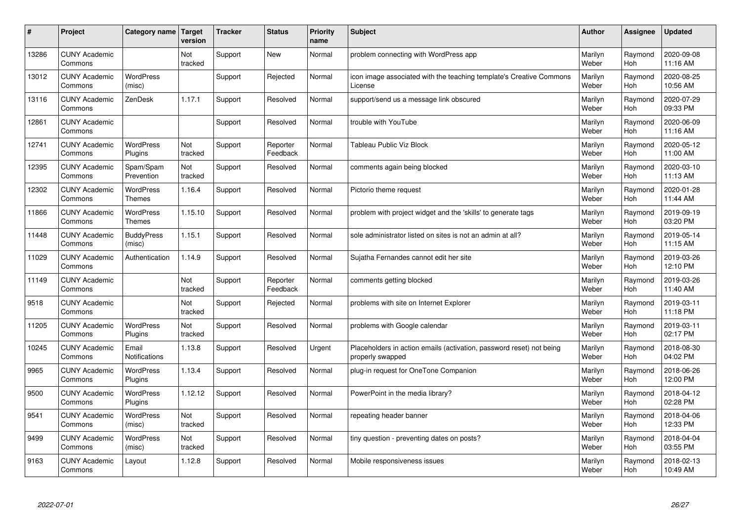| #     | Project                         | Category name                     | <b>Target</b><br>version | <b>Tracker</b> | <b>Status</b>        | <b>Priority</b><br>name | <b>Subject</b>                                                                           | <b>Author</b>    | Assignee       | <b>Updated</b>         |
|-------|---------------------------------|-----------------------------------|--------------------------|----------------|----------------------|-------------------------|------------------------------------------------------------------------------------------|------------------|----------------|------------------------|
| 13286 | <b>CUNY Academic</b><br>Commons |                                   | Not<br>tracked           | Support        | <b>New</b>           | Normal                  | problem connecting with WordPress app                                                    | Marilyn<br>Weber | Raymond<br>Hoh | 2020-09-08<br>11:16 AM |
| 13012 | <b>CUNY Academic</b><br>Commons | <b>WordPress</b><br>(misc)        |                          | Support        | Rejected             | Normal                  | icon image associated with the teaching template's Creative Commons<br>License           | Marilyn<br>Weber | Raymond<br>Hoh | 2020-08-25<br>10:56 AM |
| 13116 | <b>CUNY Academic</b><br>Commons | ZenDesk                           | 1.17.1                   | Support        | Resolved             | Normal                  | support/send us a message link obscured                                                  | Marilyn<br>Weber | Raymond<br>Hoh | 2020-07-29<br>09:33 PM |
| 12861 | <b>CUNY Academic</b><br>Commons |                                   |                          | Support        | Resolved             | Normal                  | trouble with YouTube                                                                     | Marilyn<br>Weber | Raymond<br>Hoh | 2020-06-09<br>11:16 AM |
| 12741 | <b>CUNY Academic</b><br>Commons | <b>WordPress</b><br>Plugins       | Not<br>tracked           | Support        | Reporter<br>Feedback | Normal                  | Tableau Public Viz Block                                                                 | Marilyn<br>Weber | Raymond<br>Hoh | 2020-05-12<br>11:00 AM |
| 12395 | <b>CUNY Academic</b><br>Commons | Spam/Spam<br>Prevention           | Not<br>tracked           | Support        | Resolved             | Normal                  | comments again being blocked                                                             | Marilyn<br>Weber | Raymond<br>Hoh | 2020-03-10<br>11:13 AM |
| 12302 | <b>CUNY Academic</b><br>Commons | WordPress<br><b>Themes</b>        | 1.16.4                   | Support        | Resolved             | Normal                  | Pictorio theme request                                                                   | Marilyn<br>Weber | Raymond<br>Hoh | 2020-01-28<br>11:44 AM |
| 11866 | <b>CUNY Academic</b><br>Commons | <b>WordPress</b><br><b>Themes</b> | 1.15.10                  | Support        | Resolved             | Normal                  | problem with project widget and the 'skills' to generate tags                            | Marilyn<br>Weber | Raymond<br>Hoh | 2019-09-19<br>03:20 PM |
| 11448 | <b>CUNY Academic</b><br>Commons | <b>BuddyPress</b><br>(misc)       | 1.15.1                   | Support        | Resolved             | Normal                  | sole administrator listed on sites is not an admin at all?                               | Marilyn<br>Weber | Raymond<br>Hoh | 2019-05-14<br>11:15 AM |
| 11029 | <b>CUNY Academic</b><br>Commons | Authentication                    | 1.14.9                   | Support        | Resolved             | Normal                  | Sujatha Fernandes cannot edit her site                                                   | Marilyn<br>Weber | Raymond<br>Hoh | 2019-03-26<br>12:10 PM |
| 11149 | <b>CUNY Academic</b><br>Commons |                                   | Not<br>tracked           | Support        | Reporter<br>Feedback | Normal                  | comments getting blocked                                                                 | Marilyn<br>Weber | Raymond<br>Hoh | 2019-03-26<br>11:40 AM |
| 9518  | <b>CUNY Academic</b><br>Commons |                                   | Not<br>tracked           | Support        | Rejected             | Normal                  | problems with site on Internet Explorer                                                  | Marilyn<br>Weber | Raymond<br>Hoh | 2019-03-11<br>11:18 PM |
| 11205 | <b>CUNY Academic</b><br>Commons | <b>WordPress</b><br>Plugins       | Not<br>tracked           | Support        | Resolved             | Normal                  | problems with Google calendar                                                            | Marilyn<br>Weber | Raymond<br>Hoh | 2019-03-11<br>02:17 PM |
| 10245 | <b>CUNY Academic</b><br>Commons | Email<br><b>Notifications</b>     | 1.13.8                   | Support        | Resolved             | Urgent                  | Placeholders in action emails (activation, password reset) not being<br>properly swapped | Marilyn<br>Weber | Raymond<br>Hoh | 2018-08-30<br>04:02 PM |
| 9965  | <b>CUNY Academic</b><br>Commons | <b>WordPress</b><br>Plugins       | 1.13.4                   | Support        | Resolved             | Normal                  | plug-in request for OneTone Companion                                                    | Marilyn<br>Weber | Raymond<br>Hoh | 2018-06-26<br>12:00 PM |
| 9500  | <b>CUNY Academic</b><br>Commons | WordPress<br>Plugins              | 1.12.12                  | Support        | Resolved             | Normal                  | PowerPoint in the media library?                                                         | Marilyn<br>Weber | Raymond<br>Hoh | 2018-04-12<br>02:28 PM |
| 9541  | <b>CUNY Academic</b><br>Commons | <b>WordPress</b><br>(misc)        | Not<br>tracked           | Support        | Resolved             | Normal                  | repeating header banner                                                                  | Marilyn<br>Weber | Raymond<br>Hoh | 2018-04-06<br>12:33 PM |
| 9499  | <b>CUNY Academic</b><br>Commons | <b>WordPress</b><br>(misc)        | Not<br>tracked           | Support        | Resolved             | Normal                  | tiny question - preventing dates on posts?                                               | Marilyn<br>Weber | Raymond<br>Hoh | 2018-04-04<br>03:55 PM |
| 9163  | <b>CUNY Academic</b><br>Commons | Layout                            | 1.12.8                   | Support        | Resolved             | Normal                  | Mobile responsiveness issues                                                             | Marilyn<br>Weber | Raymond<br>Hoh | 2018-02-13<br>10:49 AM |